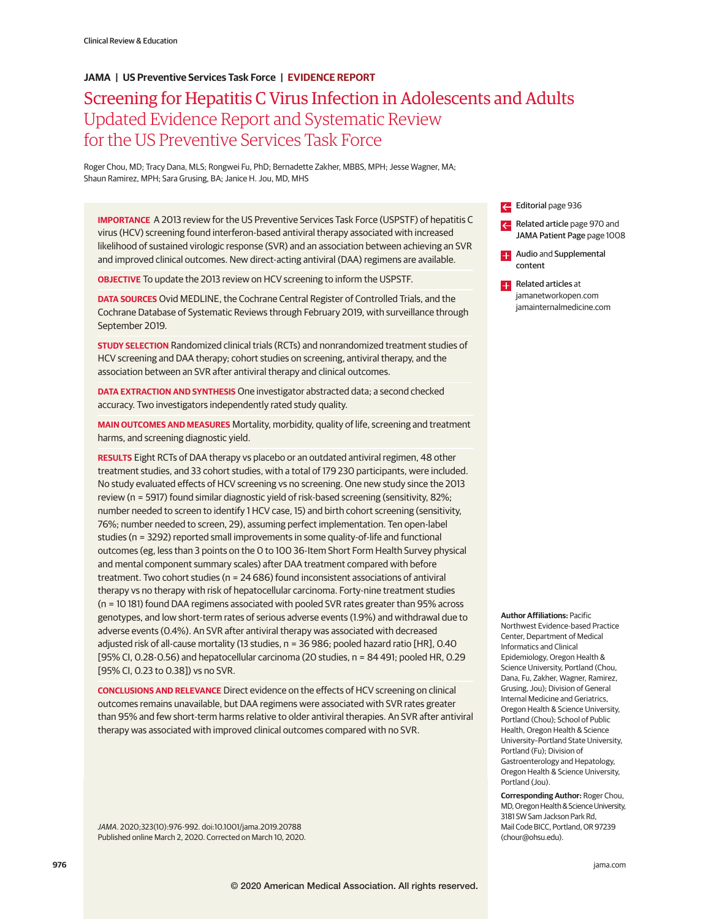# **JAMA | US Preventive Services Task Force | EVIDENCE REPORT**

# Screening for Hepatitis C Virus Infection in Adolescents and Adults Updated Evidence Report and Systematic Review for the US Preventive Services Task Force

Roger Chou, MD; Tracy Dana, MLS; Rongwei Fu, PhD; Bernadette Zakher, MBBS, MPH; Jesse Wagner, MA; Shaun Ramirez, MPH; Sara Grusing, BA; Janice H. Jou, MD, MHS

**IMPORTANCE** A 2013 review for the US Preventive Services Task Force (USPSTF) of hepatitis C virus (HCV) screening found interferon-based antiviral therapy associated with increased likelihood of sustained virologic response (SVR) and an association between achieving an SVR and improved clinical outcomes. New direct-acting antiviral (DAA) regimens are available.

**OBJECTIVE** To update the 2013 review on HCV screening to inform the USPSTF.

**DATA SOURCES** Ovid MEDLINE, the Cochrane Central Register of Controlled Trials, and the Cochrane Database of Systematic Reviews through February 2019, with surveillance through September 2019.

**STUDY SELECTION** Randomized clinical trials (RCTs) and nonrandomized treatment studies of HCV screening and DAA therapy; cohort studies on screening, antiviral therapy, and the association between an SVR after antiviral therapy and clinical outcomes.

**DATA EXTRACTION AND SYNTHESIS** One investigator abstracted data; a second checked accuracy. Two investigators independently rated study quality.

**MAIN OUTCOMES AND MEASURES** Mortality, morbidity, quality of life, screening and treatment harms, and screening diagnostic yield.

**RESULTS** Eight RCTs of DAA therapy vs placebo or an outdated antiviral regimen, 48 other treatment studies, and 33 cohort studies, with a total of 179 230 participants, were included. No study evaluated effects of HCV screening vs no screening. One new study since the 2013 review (n = 5917) found similar diagnostic yield of risk-based screening (sensitivity, 82%; number needed to screen to identify 1 HCV case, 15) and birth cohort screening (sensitivity, 76%; number needed to screen, 29), assuming perfect implementation. Ten open-label studies (n = 3292) reported small improvements in some quality-of-life and functional outcomes (eg, less than 3 points on the 0 to 100 36-Item Short Form Health Survey physical and mental component summary scales) after DAA treatment compared with before treatment. Two cohort studies (n = 24 686) found inconsistent associations of antiviral therapy vs no therapy with risk of hepatocellular carcinoma. Forty-nine treatment studies (n = 10 181) found DAA regimens associated with pooled SVR rates greater than 95% across genotypes, and low short-term rates of serious adverse events (1.9%) and withdrawal due to adverse events (0.4%). An SVR after antiviral therapy was associated with decreased adjusted risk of all-cause mortality (13 studies, n = 36 986; pooled hazard ratio [HR], 0.40 [95% CI, 0.28-0.56) and hepatocellular carcinoma (20 studies, n = 84 491; pooled HR, 0.29 [95% CI, 0.23 to 0.38]) vs no SVR.

**CONCLUSIONS AND RELEVANCE** Direct evidence on the effects of HCV screening on clinical outcomes remains unavailable, but DAA regimens were associated with SVR rates greater than 95% and few short-term harms relative to older antiviral therapies. An SVR after antiviral therapy was associated with improved clinical outcomes compared with no SVR.

JAMA. 2020;323(10):976-992. doi:10.1001/jama.2019.20788 Published online March 2, 2020. Corrected on March 10, 2020.





**Author Affiliations:** Pacific

Northwest Evidence-based Practice Center, Department of Medical Informatics and Clinical Epidemiology, Oregon Health & Science University, Portland (Chou, Dana, Fu, Zakher, Wagner, Ramirez, Grusing, Jou); Division of General Internal Medicine and Geriatrics, Oregon Health & Science University, Portland (Chou); School of Public Health, Oregon Health & Science University–Portland State University, Portland (Fu); Division of Gastroenterology and Hepatology, Oregon Health & Science University, Portland (Jou).

**Corresponding Author:** Roger Chou, MD, Oregon Health & Science University, 3181 SW Sam Jackson Park Rd, Mail Code BICC, Portland, OR 97239 (chour@ohsu.edu).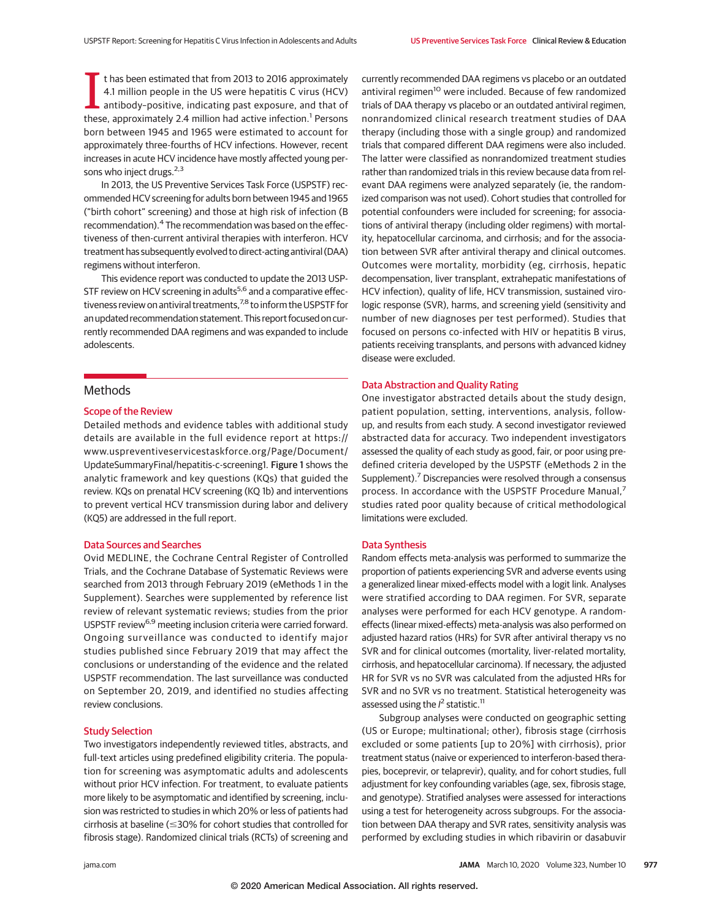I thas been estimated that from 2013 to 2016 approximately 4.1 million people in the US were hepatitis C virus (HCV) antibody-positive, indicating past exposure, and that of these, approximately 2.4 million had active infe t has been estimated that from 2013 to 2016 approximately 4.1 million people in the US were hepatitis C virus (HCV) antibody–positive, indicating past exposure, and that of born between 1945 and 1965 were estimated to account for approximately three-fourths of HCV infections. However, recent increases in acute HCV incidence have mostly affected young persons who inject drugs.<sup>2,3</sup>

In 2013, the US Preventive Services Task Force (USPSTF) recommended HCV screening for adults born between 1945 and 1965 ("birth cohort" screening) and those at high risk of infection (B recommendation).<sup>4</sup> The recommendation was based on the effectiveness of then-current antiviral therapies with interferon. HCV treatment has subsequently evolved to direct-acting antiviral (DAA) regimens without interferon.

This evidence report was conducted to update the 2013 USP-STF review on HCV screening in adults<sup>5,6</sup> and a comparative effectiveness review on antiviral treatments,<sup>7,8</sup> to inform the USPSTF for an updated recommendation statement. This report focused on currently recommended DAA regimens and was expanded to include adolescents.

## **Methods**

#### Scope of the Review

Detailed methods and evidence tables with additional study details are available in the full evidence report at https:// www.uspreventiveservicestaskforce.org /Page/Document/ UpdateSummaryFinal/hepatitis-c-screening1. Figure 1 shows the analytic framework and key questions (KQs) that guided the review. KQs on prenatal HCV screening (KQ 1b) and interventions to prevent vertical HCV transmission during labor and delivery (KQ5) are addressed in the full report.

#### Data Sources and Searches

Ovid MEDLINE, the Cochrane Central Register of Controlled Trials, and the Cochrane Database of Systematic Reviews were searched from 2013 through February 2019 (eMethods 1 in the Supplement). Searches were supplemented by reference list review of relevant systematic reviews; studies from the prior USPSTF review<sup>6,9</sup> meeting inclusion criteria were carried forward. Ongoing surveillance was conducted to identify major studies published since February 2019 that may affect the conclusions or understanding of the evidence and the related USPSTF recommendation. The last surveillance was conducted on September 20, 2019, and identified no studies affecting review conclusions.

#### Study Selection

Two investigators independently reviewed titles, abstracts, and full-text articles using predefined eligibility criteria. The population for screening was asymptomatic adults and adolescents without prior HCV infection. For treatment, to evaluate patients more likely to be asymptomatic and identified by screening, inclusion was restricted to studies in which 20% or less of patients had  $c$ irrhosis at baseline ( $\leq$ 30% for  $\epsilon$ ohort studies that  $\epsilon$ ontrolled for fibrosis stage). Randomized clinical trials (RCTs) of screening and

currently recommended DAA regimens vs placebo or an outdated antiviral regimen<sup>10</sup> were included. Because of few randomized trials of DAA therapy vs placebo or an outdated antiviral regimen, nonrandomized clinical research treatment studies of DAA therapy (including those with a single group) and randomized trials that compared different DAA regimens were also included. The latter were classified as nonrandomized treatment studies rather than randomized trials in this review because data from relevant DAA regimens were analyzed separately (ie, the randomized comparison was not used). Cohort studies that controlled for potential confounders were included for screening; for associations of antiviral therapy (including older regimens) with mortality, hepatocellular carcinoma, and cirrhosis; and for the association between SVR after antiviral therapy and clinical outcomes. Outcomes were mortality, morbidity (eg, cirrhosis, hepatic decompensation, liver transplant, extrahepatic manifestations of HCV infection), quality of life, HCV transmission, sustained virologic response (SVR), harms, and screening yield (sensitivity and number of new diagnoses per test performed). Studies that focused on persons co-infected with HIV or hepatitis B virus, patients receiving transplants, and persons with advanced kidney disease were excluded.

### Data Abstraction and Quality Rating

One investigator abstracted details about the study design, patient population, setting, interventions, analysis, followup, and results from each study. A second investigator reviewed abstracted data for accuracy. Two independent investigators assessed the quality of each study as good, fair, or poor using predefined criteria developed by the USPSTF (eMethods 2 in the Supplement). $<sup>7</sup>$  Discrepancies were resolved through a consensus</sup> process. In accordance with the USPSTF Procedure Manual,7 studies rated poor quality because of critical methodological limitations were excluded.

#### Data Synthesis

Random effects meta-analysis was performed to summarize the proportion of patients experiencing SVR and adverse events using a generalized linear mixed-effects model with a logit link. Analyses were stratified according to DAA regimen. For SVR, separate analyses were performed for each HCV genotype. A randomeffects (linear mixed-effects) meta-analysis was also performed on adjusted hazard ratios (HRs) for SVR after antiviral therapy vs no SVR and for clinical outcomes (mortality, liver-related mortality, cirrhosis, and hepatocellular carcinoma). If necessary, the adjusted HR for SVR vs no SVR was calculated from the adjusted HRs for SVR and no SVR vs no treatment. Statistical heterogeneity was assessed using the  $l^2$  statistic.<sup>11</sup>

Subgroup analyses were conducted on geographic setting (US or Europe; multinational; other), fibrosis stage (cirrhosis excluded or some patients [up to 20%] with cirrhosis), prior treatment status (naive or experienced to interferon-based therapies, boceprevir, or telaprevir), quality, and for cohort studies, full adjustment for key confounding variables (age, sex, fibrosis stage, and genotype). Stratified analyses were assessed for interactions using a test for heterogeneity across subgroups. For the association between DAA therapy and SVR rates, sensitivity analysis was performed by excluding studies in which ribavirin or dasabuvir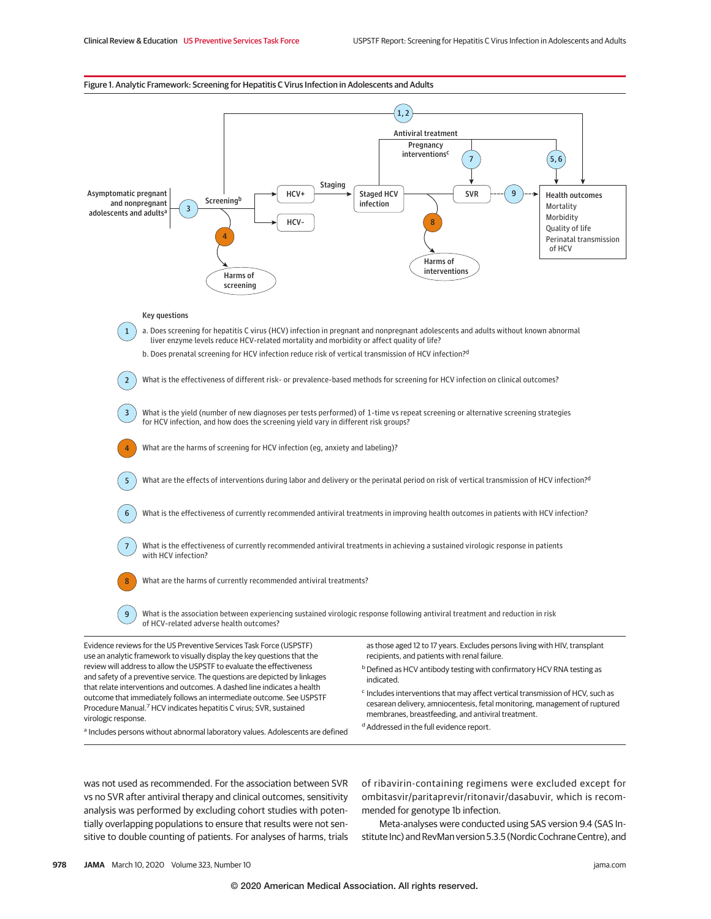#### Figure 1. Analytic Framework: Screening for Hepatitis C Virus Infection in Adolescents and Adults



was not used as recommended. For the association between SVR vs no SVR after antiviral therapy and clinical outcomes, sensitivity analysis was performed by excluding cohort studies with potentially overlapping populations to ensure that results were not sensitive to double counting of patients. For analyses of harms, trials of ribavirin-containing regimens were excluded except for ombitasvir/paritaprevir/ritonavir/dasabuvir, which is recommended for genotype 1b infection.

Meta-analyses were conducted using SAS version 9.4 (SAS Institute Inc) and RevMan version 5.3.5 (Nordic Cochrane Centre), and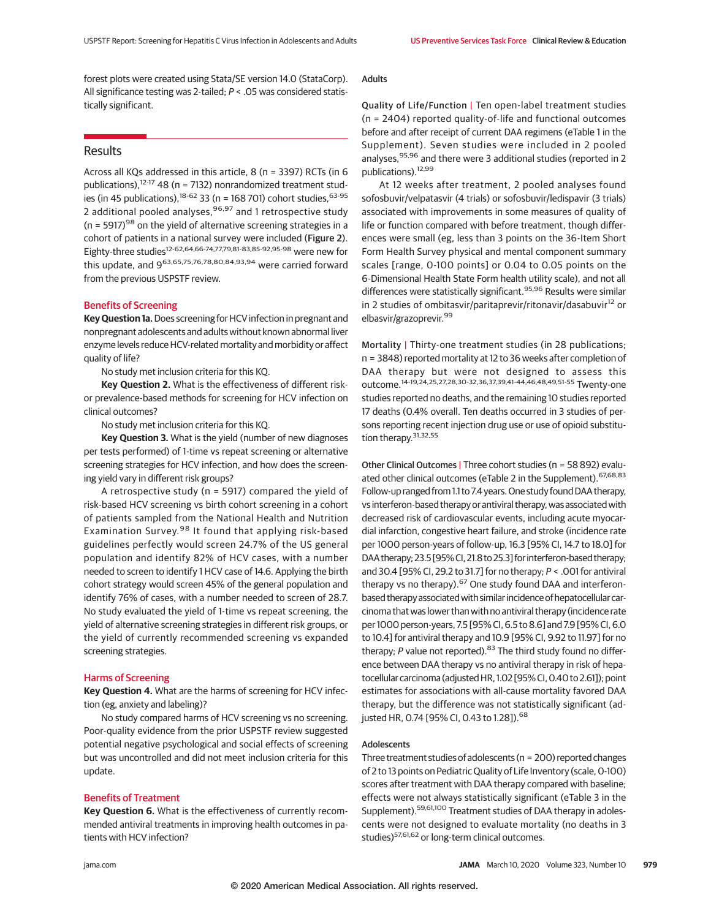forest plots were created using Stata/SE version 14.0 (StataCorp). All significance testing was 2-tailed; P < .05 was considered statistically significant.

# Results

Across all KQs addressed in this article, 8 (n = 3397) RCTs (in 6 publications), $12-17$  48 (n = 7132) nonrandomized treatment studies (in 45 publications),  $18-62$  33 (n = 168 701) cohort studies,  $63-95$ 2 additional pooled analyses, 96,97 and 1 retrospective study  $(n = 5917)^{98}$  on the yield of alternative screening strategies in a cohort of patients in a national survey were included (Figure 2). Eighty-three studies12-62,64,66-74,77,79,81-83,85-92,95-98 were new for this update, and 963,65,75,76,78,80,84,93,94 were carried forward from the previous USPSTF review.

## Benefits of Screening

**Key Question 1a.**Does screening for HCV infection in pregnant and nonpregnant adolescents and adults without known abnormal liver enzyme levels reduce HCV-related mortality and morbidity or affect quality of life?

No study met inclusion criteria for this KQ.

**Key Question 2.** What is the effectiveness of different riskor prevalence-based methods for screening for HCV infection on clinical outcomes?

No study met inclusion criteria for this KQ.

**Key Question 3.** What is the yield (number of new diagnoses per tests performed) of 1-time vs repeat screening or alternative screening strategies for HCV infection, and how does the screening yield vary in different risk groups?

A retrospective study (n = 5917) compared the yield of risk-based HCV screening vs birth cohort screening in a cohort of patients sampled from the National Health and Nutrition Examination Survey.<sup>98</sup> It found that applying risk-based guidelines perfectly would screen 24.7% of the US general population and identify 82% of HCV cases, with a number needed to screen to identify 1 HCV case of 14.6. Applying the birth cohort strategy would screen 45% of the general population and identify 76% of cases, with a number needed to screen of 28.7. No study evaluated the yield of 1-time vs repeat screening, the yield of alternative screening strategies in different risk groups, or the yield of currently recommended screening vs expanded screening strategies.

#### Harms of Screening

**Key Question 4.** What are the harms of screening for HCV infection (eg, anxiety and labeling)?

No study compared harms of HCV screening vs no screening. Poor-quality evidence from the prior USPSTF review suggested potential negative psychological and social effects of screening but was uncontrolled and did not meet inclusion criteria for this update.

## Benefits of Treatment

**Key Question 6.** What is the effectiveness of currently recommended antiviral treatments in improving health outcomes in patients with HCV infection?

## Adults

Quality of Life/Function | Ten open-label treatment studies (n = 2404) reported quality-of-life and functional outcomes before and after receipt of current DAA regimens (eTable 1 in the Supplement). Seven studies were included in 2 pooled analyses, 95,96 and there were 3 additional studies (reported in 2 publications).12,99

At 12 weeks after treatment, 2 pooled analyses found sofosbuvir/velpatasvir (4 trials) or sofosbuvir/ledispavir (3 trials) associated with improvements in some measures of quality of life or function compared with before treatment, though differences were small (eg, less than 3 points on the 36-Item Short Form Health Survey physical and mental component summary scales [range, 0-100 points] or 0.04 to 0.05 points on the 6-Dimensional Health State Form health utility scale), and not all differences were statistically significant.<sup>95,96</sup> Results were similar in 2 studies of ombitasvir/paritaprevir/ritonavir/dasabuvir<sup>12</sup> or elbasvir/grazoprevir.<sup>99</sup>

Mortality | Thirty-one treatment studies (in 28 publications; n = 3848) reported mortality at 12 to 36 weeks after completion of DAA therapy but were not designed to assess this outcome.14-19,24,25,27,28,30-32,36,37,39,41-44,46,48,49,51-55 Twenty-one studies reported no deaths, and the remaining 10 studies reported 17 deaths (0.4% overall. Ten deaths occurred in 3 studies of persons reporting recent injection drug use or use of opioid substitution therapy.<sup>31,32,55</sup>

Other Clinical Outcomes | Three cohort studies (n = 58 892) evaluated other clinical outcomes (eTable 2 in the Supplement). <sup>67,68,83</sup> Follow-up ranged from 1.1 to 7.4 years. One study found DAA therapy, vs interferon-based therapy or antiviral therapy, was associated with decreased risk of cardiovascular events, including acute myocardial infarction, congestive heart failure, and stroke (incidence rate per 1000 person-years of follow-up, 16.3 [95% CI, 14.7 to 18.0] for DAA therapy; 23.5 [95%CI, 21.8 to 25.3] for interferon-based therapy; and 30.4 [95% CI, 29.2 to 31.7] for no therapy; P < .001 for antiviral therapy vs no therapy). $67$  One study found DAA and interferonbased therapy associated with similar incidence of hepatocellular carcinoma that was lower than with no antiviral therapy (incidence rate per 1000 person-years, 7.5 [95% CI, 6.5 to 8.6] and 7.9 [95% CI, 6.0 to 10.4] for antiviral therapy and 10.9 [95% CI, 9.92 to 11.97] for no therapy;  $P$  value not reported).<sup>83</sup> The third study found no difference between DAA therapy vs no antiviral therapy in risk of hepatocellular carcinoma (adjusted HR, 1.02 [95% CI, 0.40 to 2.61]); point estimates for associations with all-cause mortality favored DAA therapy, but the difference was not statistically significant (adjusted HR, 0.74 [95% CI, 0.43 to 1.28]).<sup>68</sup>

## Adolescents

Three treatment studies of adolescents (n = 200) reported changes of 2 to 13 points on Pediatric Quality of Life Inventory (scale, 0-100) scores after treatment with DAA therapy compared with baseline; effects were not always statistically significant (eTable 3 in the Supplement).<sup>59,61,100</sup> Treatment studies of DAA therapy in adolescents were not designed to evaluate mortality (no deaths in 3 studies)<sup>57,61,62</sup> or long-term clinical outcomes.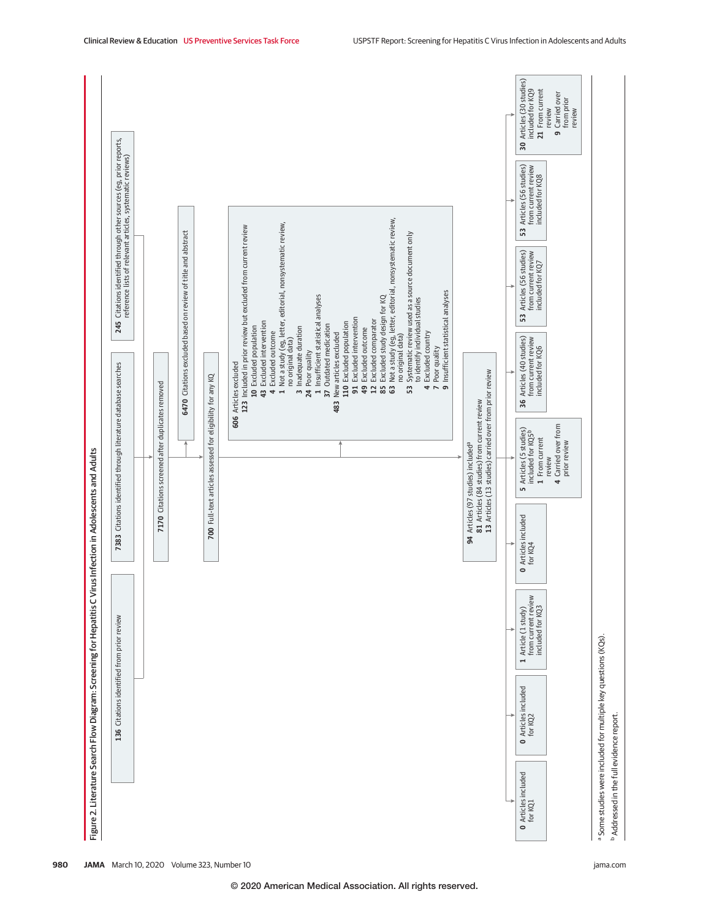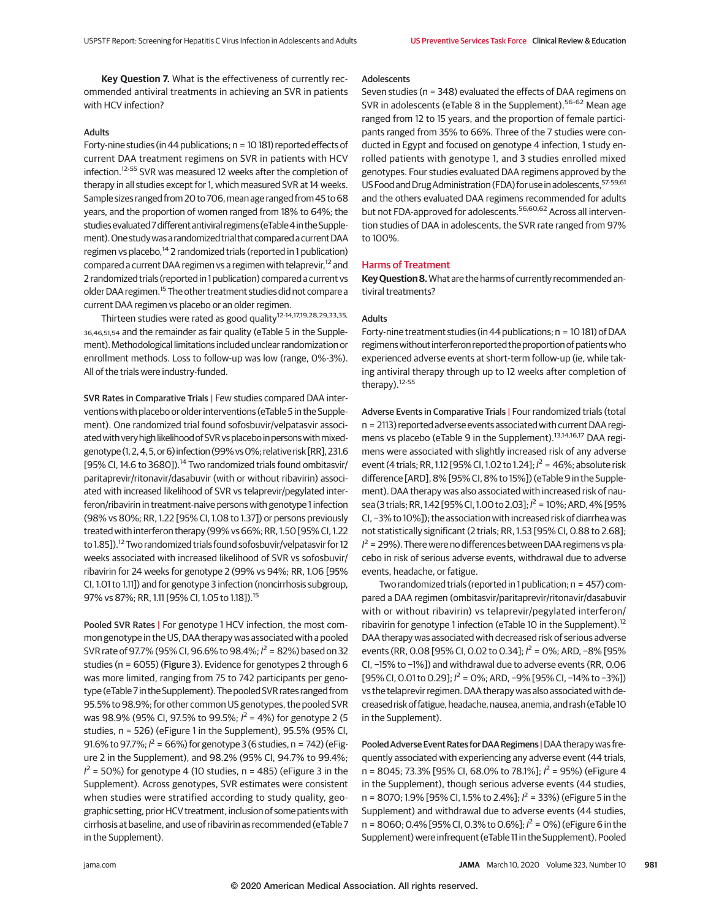**Key Question 7.** What is the effectiveness of currently recommended antiviral treatments in achieving an SVR in patients with HCV infection?

# Adults

Forty-nine studies (in 44 publications; n = 10 181) reported effects of current DAA treatment regimens on SVR in patients with HCV infection.12-55 SVR was measured 12 weeks after the completion of therapy in all studies except for 1, which measured SVR at 14 weeks. Sample sizes ranged from 20 to 706, mean age ranged from 45 to 68 years, and the proportion of women ranged from 18% to 64%; the studies evaluated 7 different antiviral regimens (eTable 4 in the Supplement). One study was a randomized trial that compared a current DAA regimen vs placebo,<sup>14</sup> 2 randomized trials (reported in 1 publication) compared a current DAA regimen vs a regimen with telaprevir,<sup>12</sup> and 2 randomized trials (reported in 1 publication) compared a current vs older DAA regimen.<sup>15</sup> The other treatment studies did not compare a current DAA regimen vs placebo or an older regimen.

Thirteen studies were rated as good quality<sup>12-14,17,19,28,29,33,35,</sup> 36,46,51,54 and the remainder as fair quality (eTable 5 in the Supplement). Methodological limitations included unclear randomization or enrollment methods. Loss to follow-up was low (range, 0%-3%). All of the trials were industry-funded.

SVR Rates in Comparative Trials | Few studies compared DAA interventions with placebo or older interventions (eTable 5 in the Supplement). One randomized trial found sofosbuvir/velpatasvir associated with very high likelihood of SVR vs placebo in persons with mixedgenotype (1, 2, 4, 5, or 6) infection (99% vs 0%; relative risk [RR], 231.6 [95% CI, 14.6 to 3680]).<sup>14</sup> Two randomized trials found ombitasvir/ paritaprevir/ritonavir/dasabuvir (with or without ribavirin) associated with increased likelihood of SVR vs telaprevir/pegylated interferon/ribavirin in treatment-naive persons with genotype 1 infection (98% vs 80%; RR, 1.22 [95% CI, 1.08 to 1.37]) or persons previously treated with interferon therapy (99% vs 66%; RR, 1.50 [95% CI, 1.22 to 1.85]).<sup>12</sup> Two randomized trials found sofosbuvir/velpatasvir for 12 weeks associated with increased likelihood of SVR vs sofosbuvir/ ribavirin for 24 weeks for genotype 2 (99% vs 94%; RR, 1.06 [95% CI, 1.01 to 1.11]) and for genotype 3 infection (noncirrhosis subgroup, 97% vs 87%; RR, 1.11 [95% CI, 1.05 to 1.18]).15

Pooled SVR Rates | For genotype 1 HCV infection, the most common genotype in the US, DAA therapy was associated with a pooled SVR rate of 97.7% (95% CI, 96.6% to 98.4%;  $l^2 = 82$ %) based on 32 studies (n = 6055) (Figure 3). Evidence for genotypes 2 through 6 was more limited, ranging from 75 to 742 participants per genotype (eTable7 in theSupplement). The pooledSVR rates ranged from 95.5% to 98.9%; for other common US genotypes, the pooled SVR was 98.9% (95% CI, 97.5% to 99.5%;  $l^2$  = 4%) for genotype 2 (5 studies, n = 526) (eFigure 1 in the Supplement), 95.5% (95% CI, 91.6% to 97.7%;  $l^2 = 66$ %) for genotype 3 (6 studies, n = 742) (eFigure 2 in the Supplement), and 98.2% (95% CI, 94.7% to 99.4%;  $I^2$  = 50%) for genotype 4 (10 studies, n = 485) (eFigure 3 in the Supplement). Across genotypes, SVR estimates were consistent when studies were stratified according to study quality, geographic setting, prior HCV treatment, inclusion of some patients with cirrhosis at baseline, and use of ribavirin as recommended (eTable 7 in the Supplement).

#### Adolescents

Seven studies (n = 348) evaluated the effects of DAA regimens on SVR in adolescents (eTable 8 in the Supplement).<sup>56-62</sup> Mean age ranged from 12 to 15 years, and the proportion of female participants ranged from 35% to 66%. Three of the 7 studies were conducted in Egypt and focused on genotype 4 infection, 1 study enrolled patients with genotype 1, and 3 studies enrolled mixed genotypes. Four studies evaluated DAA regimens approved by the US Food and Drug Administration (FDA) for use in adolescents, 57-59,61 and the others evaluated DAA regimens recommended for adults but not FDA-approved for adolescents.<sup>56,60,62</sup> Across all intervention studies of DAA in adolescents, the SVR rate ranged from 97% to 100%.

### Harms of Treatment

**Key Question 8.**What are the harms of currently recommended antiviral treatments?

## Adults

Forty-nine treatment studies (in 44 publications; n = 10 181) of DAA regimens without interferon reported the proportion of patients who experienced adverse events at short-term follow-up (ie, while taking antiviral therapy through up to 12 weeks after completion of therapy).12-55

Adverse Events in Comparative Trials | Four randomized trials (total n = 2113) reported adverse events associated with current DAA regimens vs placebo (eTable 9 in the Supplement).<sup>13,14,16,17</sup> DAA regimens were associated with slightly increased risk of any adverse event (4 trials; RR, 1.12 [95% CI, 1.02 to 1.24];  $l^2$  = 46%; absolute risk difference [ARD], 8% [95% CI, 8% to 15%]) (eTable 9 in the Supplement). DAA therapy was also associated with increased risk of nausea (3 trials; RR, 1.42 [95% CI, 1.00 to 2.03];  $l^2$  = 10%; ARD, 4% [95% CI, −3% to 10%]); the association with increased risk of diarrhea was not statistically significant (2 trials; RR, 1.53 [95% CI, 0.88 to 2.68];  $I^2$  = 29%). There were no differences between DAA regimens vs placebo in risk of serious adverse events, withdrawal due to adverse events, headache, or fatigue.

Two randomized trials (reported in 1 publication; n = 457) compared a DAA regimen (ombitasvir/paritaprevir/ritonavir/dasabuvir with or without ribavirin) vs telaprevir/pegylated interferon/ ribavirin for genotype 1 infection (eTable 10 in the Supplement).<sup>12</sup> DAA therapy was associated with decreased risk of serious adverse events (RR, 0.08 [95% CI, 0.02 to 0.34];  $l^2$  = 0%; ARD, -8% [95% CI, −15% to −1%]) and withdrawal due to adverse events (RR, 0.06 [95% CI, 0.01 to 0.29];  $l^2$  = 0%; ARD, −9% [95% CI, −14% to −3%]) vs the telaprevir regimen. DAA therapy was also associated with decreased risk of fatigue, headache, nausea, anemia, and rash (eTable 10 in the Supplement).

Pooled Adverse Event Rates for DAA Regimens | DAA therapy was frequently associated with experiencing any adverse event (44 trials, n = 8045; 73.3% [95% CI, 68.0% to 78.1%];  $l^2$  = 95%) (eFigure 4 in the Supplement), though serious adverse events (44 studies, n = 8070; 1.9% [95% CI, 1.5% to 2.4%];  $l^2$  = 33%) (eFigure 5 in the Supplement) and withdrawal due to adverse events (44 studies, n = 8060; 0.4% [95% CI, 0.3% to 0.6%];  $l^2$  = 0%) (eFigure 6 in the Supplement) were infrequent (eTable 11 in the Supplement). Pooled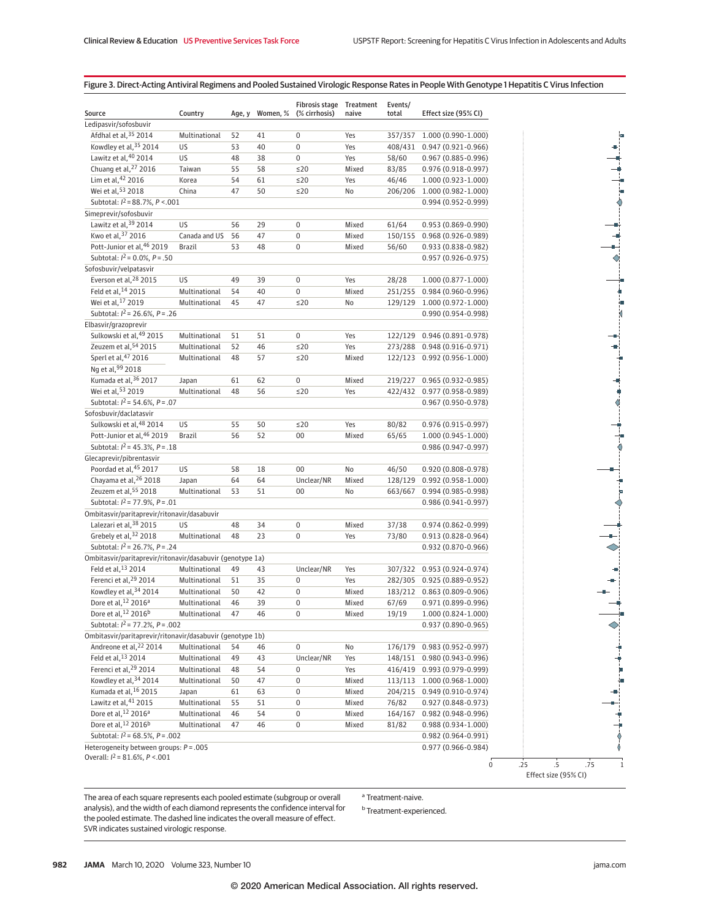# Figure 3. Direct-Acting Antiviral Regimens and Pooled Sustained Virologic Response Rates in People With Genotype 1 Hepatitis C Virus Infection

| Source                                                    | Country       | Age, y |    | Fibrosis stage Treatment<br>Women, % (% cirrhosis) | naive | Events/<br>total | Effect size (95% CI)         |  |               |
|-----------------------------------------------------------|---------------|--------|----|----------------------------------------------------|-------|------------------|------------------------------|--|---------------|
| Ledipasvir/sofosbuvir                                     |               |        |    |                                                    |       |                  |                              |  |               |
| Afdhal et al, 35 2014                                     | Multinational | 52     | 41 | $\pmb{0}$                                          | Yes   | 357/357          | 1.000 (0.990-1.000)          |  |               |
| Kowdley et al, 35 2014                                    | US            | 53     | 40 | $\mathbf 0$                                        | Yes   | 408/431          | 0.947 (0.921-0.966)          |  |               |
| Lawitz et al, 40 2014                                     | US            | 48     | 38 | $\boldsymbol{0}$                                   | Yes   | 58/60            | 0.967 (0.885-0.996)          |  |               |
| Chuang et al, 27 2016                                     | Taiwan        | 55     | 58 | $\leq$ 20                                          | Mixed | 83/85            | $0.976(0.918-0.997)$         |  |               |
| Lim et al, 42 2016                                        | Korea         | 54     | 61 | $\leq$ 20                                          | Yes   | 46/46            | 1.000 (0.923-1.000)          |  |               |
| Wei et al, 53 2018                                        | China         | 47     | 50 | $\leq$ 20                                          | No    | 206/206          | 1.000 (0.982-1.000)          |  |               |
| Subtotal: $I^2 = 88.7\%$ , $P < .001$                     |               |        |    |                                                    |       |                  | 0.994 (0.952-0.999)          |  |               |
| Simeprevir/sofosbuvir                                     |               |        |    |                                                    |       |                  |                              |  |               |
| Lawitz et al, 39 2014                                     | US            | 56     | 29 | $\boldsymbol{0}$                                   | Mixed | 61/64            | 0.953 (0.869-0.990)          |  |               |
| Kwo et al, 37 2016                                        | Canada and US | 56     | 47 | $\pmb{0}$                                          | Mixed | 150/155          | 0.968 (0.926-0.989)          |  |               |
| Pott-Junior et al, 46 2019                                | Brazil        | 53     | 48 | $\boldsymbol{0}$                                   | Mixed | 56/60            | $0.933(0.838 - 0.982)$       |  |               |
| Subtotal: $l^2$ = 0.0%, $P = .50$                         |               |        |    |                                                    |       |                  | $0.957(0.926 - 0.975)$       |  | $\Diamond$    |
| Sofosbuvir/velpatasvir                                    |               |        |    |                                                    |       |                  |                              |  |               |
| Everson et al, <sup>28</sup> 2015                         | US            | 49     | 39 | $\pmb{0}$                                          | Yes   | 28/28            | 1.000 (0.877-1.000)          |  |               |
| Feld et al, 14 2015                                       | Multinational | 54     | 40 | $\boldsymbol{0}$                                   | Mixed |                  | 251/255 0.984 (0.960-0.996)  |  |               |
| Wei et al, <sup>17</sup> 2019                             | Multinational | 45     | 47 | $\leq$ 20                                          | No    | 129/129          | 1.000 (0.972-1.000)          |  |               |
| Subtotal: $l^2$ = 26.6%, $P = .26$                        |               |        |    |                                                    |       |                  | 0.990 (0.954-0.998)          |  |               |
| Elbasvir/grazoprevir                                      |               |        |    |                                                    |       |                  |                              |  |               |
| Sulkowski et al, 49 2015                                  | Multinational | 51     | 51 | $\boldsymbol{0}$                                   | Yes   | 122/129          | 0.946 (0.891-0.978)          |  |               |
| Zeuzem et al, 54 2015                                     | Multinational | 52     | 46 | $\leq$ 20                                          | Yes   | 273/288          | 0.948 (0.916-0.971)          |  |               |
| Sperl et al, 47 2016                                      | Multinational | 48     | 57 | $\leq$ 20                                          | Mixed |                  | 122/123 0.992 (0.956-1.000)  |  |               |
| Ng et al, 99 2018                                         |               |        |    |                                                    |       |                  |                              |  |               |
| Kumada et al, 36 2017                                     | Japan         | 61     | 62 | 0                                                  | Mixed | 219/227          | $0.965(0.932 - 0.985)$       |  |               |
| Wei et al, 53 2019                                        | Multinational | 48     | 56 | $\leq$ 20                                          | Yes   |                  | 422/432 0.977 (0.958-0.989)  |  | $\frac{1}{2}$ |
| Subtotal: $I^2 = 54.6\%$ , $P = .07$                      |               |        |    |                                                    |       |                  | $0.967(0.950-0.978)$         |  |               |
| Sofosbuvir/daclatasvir                                    |               |        |    |                                                    |       |                  |                              |  |               |
| Sulkowski et al, 48 2014                                  | US            |        |    |                                                    |       |                  | $0.976(0.915 - 0.997)$       |  |               |
| Pott-Junior et al, 46 2019                                |               | 55     | 50 | $\leq$ 20                                          | Yes   | 80/82            |                              |  |               |
|                                                           | Brazil        | 56     | 52 | $00\,$                                             | Mixed | 65/65            | 1.000 (0.945-1.000)          |  |               |
| Subtotal: $l^2$ = 45.3%, $P = .18$                        |               |        |    |                                                    |       |                  | 0.986 (0.947-0.997)          |  |               |
| Glecaprevir/pibrentasvir<br>Poordad et al, 45 2017        | US            |        |    |                                                    |       |                  |                              |  |               |
| Chayama et al, 26 2018                                    |               | 58     | 18 | 00                                                 | No    | 46/50            | $0.920(0.808 - 0.978)$       |  |               |
| Zeuzem et al, 55 2018                                     | Japan         | 64     | 64 | Unclear/NR                                         | Mixed | 128/129          | $0.992(0.958 - 1.000)$       |  |               |
|                                                           | Multinational | 53     | 51 | 00                                                 | No    | 663/667          | 0.994 (0.985-0.998)          |  |               |
| Subtotal: $I^2 = 77.9\%$ , $P = .01$                      |               |        |    |                                                    |       |                  | 0.986 (0.941-0.997)          |  |               |
| Ombitasvir/paritaprevir/ritonavir/dasabuvir               |               |        |    |                                                    |       |                  |                              |  |               |
| Lalezari et al, 38 2015                                   | US            | 48     | 34 | $\pmb{0}$                                          | Mixed | 37/38            | $0.974(0.862 - 0.999)$       |  |               |
| Grebely et al, 32 2018                                    | Multinational | 48     | 23 | $\boldsymbol{0}$                                   | Yes   | 73/80            | 0.913 (0.828-0.964)          |  |               |
| Subtotal: $l^2$ = 26.7%, $P = .24$                        |               |        |    |                                                    |       |                  | 0.932 (0.870-0.966)          |  |               |
| Ombitasvir/paritaprevir/ritonavir/dasabuvir (genotype 1a) |               |        |    |                                                    |       |                  |                              |  |               |
| Feld et al, 13 2014                                       | Multinational | 49     | 43 | Unclear/NR                                         | Yes   | 307/322          | 0.953 (0.924-0.974)          |  |               |
| Ferenci et al, <sup>29</sup> 2014                         | Multinational | 51     | 35 | $\pmb{0}$                                          | Yes   |                  | 282/305 0.925 (0.889-0.952)  |  |               |
| Kowdley et al, 34 2014                                    | Multinational | 50     | 42 | $\pmb{0}$                                          | Mixed | 183/212          | $0.863(0.809 - 0.906)$       |  |               |
| Dore et al, 12 2016 <sup>a</sup>                          | Multinational | 46     | 39 | $\boldsymbol{0}$                                   | Mixed | 67/69            | 0.971 (0.899-0.996)          |  |               |
| Dore et al, 12 2016 <sup>b</sup>                          | Multinational | 47     | 46 | 0                                                  | Mixed | 19/19            | 1.000 (0.824-1.000)          |  |               |
| Subtotal: $I^2 = 77.2\%$ , $P = .002$                     |               |        |    |                                                    |       |                  | $0.937(0.890 - 0.965)$       |  |               |
| Ombitasvir/paritaprevir/ritonavir/dasabuvir (genotype 1b) |               |        |    |                                                    |       |                  |                              |  |               |
| Andreone et al, <sup>22</sup> 2014                        | Multinational | 54     | 46 | $\pmb{0}$                                          | No    | 176/179          | $0.983(0.952 - 0.997)$       |  |               |
| Feld et al, 13 2014                                       | Multinational | 49     | 43 | Unclear/NR                                         | Yes   |                  | 148/151  0.980 (0.943-0.996) |  |               |
| Ferenci et al, 29 2014                                    | Multinational | 48     | 54 | 0                                                  | Yes   |                  | 416/419  0.993 (0.979-0.999) |  |               |
| Kowdley et al, 34 2014                                    | Multinational | 50     | 47 | $\pmb{0}$                                          | Mixed |                  | 113/113 1.000 (0.968-1.000)  |  |               |
| Kumada et al, 16 2015                                     | Japan         | 61     | 63 | $\pmb{0}$                                          | Mixed |                  | 204/215 0.949 (0.910-0.974)  |  |               |
| Lawitz et al, 41 2015                                     | Multinational | 55     | 51 | 0                                                  | Mixed | 76/82            | 0.927 (0.848-0.973)          |  |               |
| Dore et al, <sup>12</sup> 2016 <sup>a</sup>               | Multinational | 46     | 54 | $\boldsymbol{0}$                                   | Mixed | 164/167          | 0.982 (0.948-0.996)          |  |               |
| Dore et al, 12 2016b                                      | Multinational | 47     | 46 | 0                                                  | Mixed | 81/82            | 0.988 (0.934-1.000)          |  |               |
| Subtotal: $I^2$ = 68.5%, P = .002                         |               |        |    |                                                    |       |                  | $0.982(0.964 - 0.991)$       |  | ┆             |
| Heterogeneity between groups: $P = .005$                  |               |        |    |                                                    |       |                  | 0.977 (0.966-0.984)          |  |               |
| Overall: $l^2$ = 81.6%, $P < 001$                         |               |        |    |                                                    |       |                  |                              |  |               |

The area of each square represents each pooled estimate (subgroup or overall analysis), and the width of each diamond represents the confidence interval for the pooled estimate. The dashed line indicates the overall measure of effect. SVR indicates sustained virologic response.

<sup>a</sup> Treatment-naive.

<sup>b</sup> Treatment-experienced.

╹╷┪┈╫┈╅┈╁┈╁┈╁┈╅┈╫┈┥┈┈┈╝╌┥┈┈╝╌┙┈╝╌┧┈┈╝╌╁┈┈╝╌╁┈┈╝╌╁┈╌┙╌┽┈┈┙╌╁┈╌┧╴┆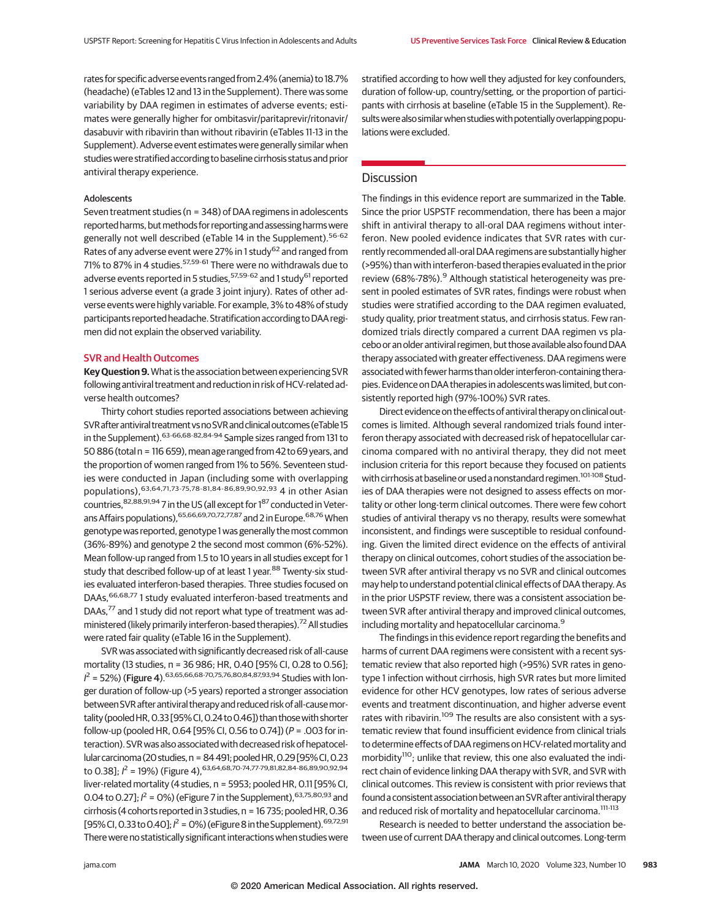rates for specificadverseevents ranged from 2.4% (anemia) to 18.7% (headache) (eTables 12 and 13 in the Supplement). There was some variability by DAA regimen in estimates of adverse events; estimates were generally higher for ombitasvir/paritaprevir/ritonavir/ dasabuvir with ribavirin than without ribavirin (eTables 11-13 in the Supplement). Adverse event estimates were generally similar when studies were stratified according to baseline cirrhosis status and prior antiviral therapy experience.

## Adolescents

Seven treatment studies (n = 348) of DAA regimens in adolescents reported harms, but methods for reporting and assessing harms were generally not well described (eTable 14 in the Supplement).<sup>56-62</sup> Rates of any adverse event were 27% in 1 study<sup>62</sup> and ranged from 71% to 87% in 4 studies. 57,59-61 There were no withdrawals due to adverse events reported in 5 studies, <sup>57,59-62</sup> and 1 study<sup>61</sup> reported 1 serious adverse event (a grade 3 joint injury). Rates of other adverse events were highly variable. For example, 3% to 48% of study participants reported headache. Stratification according to DAA regimen did not explain the observed variability.

# SVR and Health Outcomes

**Key Question 9.**What is the association between experiencing SVR following antiviral treatment and reduction in risk of HCV-related adverse health outcomes?

Thirty cohort studies reported associations between achieving SVR after antiviral treatment vs no SVR and clinical outcomes (eTable 15 in the Supplement).  $63-66,68-82,84-94$  Sample sizes ranged from 131 to 50 886 (total n = 116 659), mean age ranged from 42 to 69 years, and the proportion of women ranged from 1% to 56%. Seventeen studies were conducted in Japan (including some with overlapping populations),63,64,71,73-75,78-81,84-86,89,90,92,93 4 in other Asian countries, 82,88,91,94 7 in the US (all except for 187 conducted in Veterans Affairs populations), 65,66,69,70,72,77,87 and 2 in Europe. 68,76 When genotype was reported, genotype 1 was generally themost common (36%-89%) and genotype 2 the second most common (6%-52%). Mean follow-up ranged from 1.5 to 10 years in all studies except for 1 study that described follow-up of at least 1 year.<sup>88</sup> Twenty-six studies evaluated interferon-based therapies. Three studies focused on DAAs, <sup>66,68,77</sup> 1 study evaluated interferon-based treatments and DAAs,<sup>77</sup> and 1 study did not report what type of treatment was administered (likely primarily interferon-based therapies).<sup>72</sup> All studies were rated fair quality (eTable 16 in the Supplement).

SVR was associated with significantly decreased risk of all-cause mortality (13 studies, n = 36 986; HR, 0.40 [95% CI, 0.28 to 0.56];  $I^2$  = 52%) (Figure 4).<sup>63,65,66,68-70,75,76,80,84,87,93,94</sup> Studies with longer duration of follow-up (>5 years) reported a stronger association between SVR after antiviral therapy and reduced risk of all-cause mortality (pooled HR, 0.33 [95% CI, 0.24 to 0.46]) than those with shorter follow-up (pooled HR, 0.64 [95% CI, 0.56 to 0.74]) (P = .003 for interaction).SVR was also associated with decreased risk of hepatocellular carcinoma (20 studies, n = 84 491; pooled HR, 0.29 [95% CI, 0.23 to 0.38];  $l^2$  = 19%) (Figure 4), <sup>63,64,68,70-74,77-79,81,82,84-86,89,90,92,94</sup> liver-related mortality (4 studies, n = 5953; pooled HR, 0.11 [95% CI, 0.04 to 0.27];  $l^2$  = 0%) (eFigure 7 in the Supplement),  $63,75,80,93$  and cirrhosis (4 cohorts reported in 3 studies,  $n = 16735$ ; pooled HR, 0.36 [95% CI, 0.33 to 0.40];  $l^2$  = 0%) (eFigure 8 in the Supplement). <sup>69,72,91</sup> There were no statistically significant interactions when studies were stratified according to how well they adjusted for key confounders, duration of follow-up, country/setting, or the proportion of participants with cirrhosis at baseline (eTable 15 in the Supplement). Resultswerealsosimilarwhenstudieswithpotentiallyoverlappingpopulations were excluded.

# **Discussion**

The findings in this evidence report are summarized in the Table. Since the prior USPSTF recommendation, there has been a major shift in antiviral therapy to all-oral DAA regimens without interferon. New pooled evidence indicates that SVR rates with currently recommended all-oral DAA regimens are substantially higher (>95%) than with interferon-based therapies evaluated in the prior review (68%-78%).<sup>9</sup> Although statistical heterogeneity was present in pooled estimates of SVR rates, findings were robust when studies were stratified according to the DAA regimen evaluated, study quality, prior treatment status, and cirrhosis status. Few randomized trials directly compared a current DAA regimen vs placebo or an older antiviral regimen, but those available also found DAA therapy associated with greater effectiveness. DAA regimens were associated with fewer harms than older interferon-containing therapies. Evidence on DAA therapies in adolescents was limited, but consistently reported high (97%-100%) SVR rates.

Direct evidence on the effects of antiviral therapy on clinical outcomes is limited. Although several randomized trials found interferon therapy associated with decreased risk of hepatocellular carcinoma compared with no antiviral therapy, they did not meet inclusion criteria for this report because they focused on patients with cirrhosis at baseline or used a nonstandard regimen.<sup>101-108</sup> Studies of DAA therapies were not designed to assess effects on mortality or other long-term clinical outcomes. There were few cohort studies of antiviral therapy vs no therapy, results were somewhat inconsistent, and findings were susceptible to residual confounding. Given the limited direct evidence on the effects of antiviral therapy on clinical outcomes, cohort studies of the association between SVR after antiviral therapy vs no SVR and clinical outcomes may help to understand potential clinical effects of DAA therapy. As in the prior USPSTF review, there was a consistent association between SVR after antiviral therapy and improved clinical outcomes, including mortality and hepatocellular carcinoma.<sup>9</sup>

The findings in this evidence report regarding the benefits and harms of current DAA regimens were consistent with a recent systematic review that also reported high (>95%) SVR rates in genotype 1 infection without cirrhosis, high SVR rates but more limited evidence for other HCV genotypes, low rates of serious adverse events and treatment discontinuation, and higher adverse event rates with ribavirin.<sup>109</sup> The results are also consistent with a systematic review that found insufficient evidence from clinical trials to determine effects of DAA regimens on HCV-related mortality and morbidity<sup>110</sup>; unlike that review, this one also evaluated the indirect chain of evidence linking DAA therapy with SVR, and SVR with clinical outcomes. This review is consistent with prior reviews that found a consistent association between an SVR after antiviral therapy and reduced risk of mortality and hepatocellular carcinoma.<sup>111-113</sup>

Research is needed to better understand the association between use of current DAA therapy and clinical outcomes. Long-term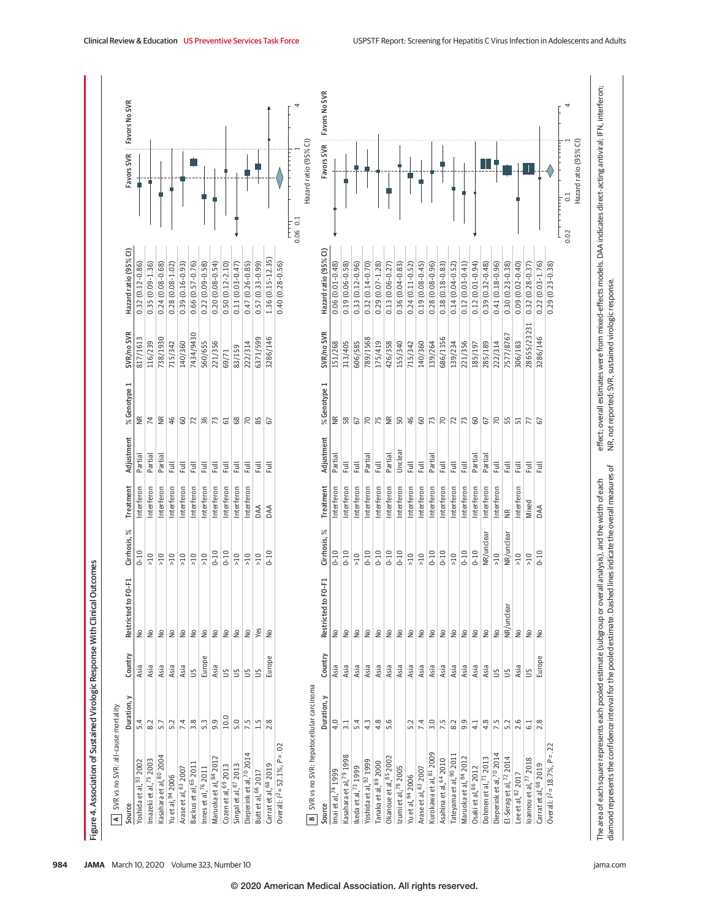|                                                            | SVR vs no SVR: all-cause mortality |                |                            |                |                   |                  |                         |             |                       |                                          |                            |
|------------------------------------------------------------|------------------------------------|----------------|----------------------------|----------------|-------------------|------------------|-------------------------|-------------|-----------------------|------------------------------------------|----------------------------|
| Source                                                     | Duration, y                        | Country        | $F0-F1$<br>Restricted to   | Cirrhosis, %   | Treatment         | Adjustment       | % Genotype 1            | SVR/no SVR  | Hazard ratio (95% CI) |                                          | Favors SVR   Favors No SVR |
| 5.4<br>Yoshida et al, 93 2002                              |                                    | Asia           | $\frac{1}{2}$              | $0 - 10$       | Interferon        | Partial          | $\frac{\alpha}{\alpha}$ | 817/1613    | $0.32(0.12 - 0.86)$   |                                          |                            |
| 8.2<br>Imazeki et al, 75 2003                              |                                    | Asia           | $\geq$                     | $\frac{10}{5}$ | Interferon        | Partial          | $\overline{7}$          | 116/239     | $0.35(0.09 - 1.36)$   |                                          |                            |
| 5.7<br>Kasahara et al, 80 2004                             |                                    | Asia           | $\stackrel{\circ}{\simeq}$ | >10            | Interferon        | Partial          | $\frac{R}{R}$           | 738/1930    | $0.24(0.08 - 0.68)$   |                                          |                            |
| 5.2<br>Yu et al, 94 2006                                   |                                    | Asia           | $\stackrel{\circ}{\simeq}$ | $>10$          | Interferon        | Ē                | 46                      | 715/342     | $0.28(0.08 - 1.02)$   |                                          |                            |
| 7.4<br>Arase et al, 63 2007                                |                                    | Asia           | $\stackrel{\circ}{\simeq}$ | $>10$          | Interferon        | Ē                | $\mathbf{S}$            | 140/360     | $0.39(0.16 - 0.93)$   |                                          |                            |
| 3.8<br>Backus et al, <sup>65</sup> 2011                    |                                    | SU             | $\frac{1}{2}$              | $\geq 10$      | Interferon        | $\overline{\Xi}$ | 72                      | 7434/9430   | $0.66(0.57 - 0.76)$   |                                          |                            |
| $5.\overline{3}$<br>Innes et al, 76 2011                   |                                    | Europe         | $\mathop{\mathsf{S}}$      | $>10$          | Interferon        | Full             | 36                      | 560/655     | $0.22(0.09 - 0.58)$   |                                          |                            |
| $\frac{9}{3}$<br>Maruoka et al, 84 2012                    |                                    | Asia           | $\mathop{\mathsf{S}}$      | $0 - 10$       | Interferon        | Full             | 73                      | 221/356     | $0.20(0.08-0.54)$     |                                          |                            |
| 10.0<br>Cozen et al, 69 2013                               |                                    | $\mathfrak{S}$ | $\stackrel{\circ}{\simeq}$ | $0 - 10$       | Interferon        | Full.            | $61$                    | 69/71       | $0.50(0.12 - 2.10)$   |                                          |                            |
| 5.0<br>Singal et al, 87 2013                               |                                    | $\mathfrak{S}$ | $\stackrel{\circ}{\simeq}$ | $\frac{10}{1}$ | Interferon        | Ē                | $68$                    | 83/159      | $0.11(0.03 - 0.47)$   |                                          |                            |
| 7.5<br>Dieperink et al, 70 2014                            |                                    | S              | $\frac{1}{2}$              | >10            | Interferon        | Ē                | 70                      | 222/314     | $0.47(0.26 - 0.85)$   |                                          |                            |
| $\frac{1}{1}$<br>Butt et al, <sup>66</sup> 2017            |                                    | 5              | Yes                        | $>10$          | DAA               | Ē                | 85                      | 6371/599    | $0.57(0.33 - 0.99)$   |                                          |                            |
| 2.8<br>Carrat et al, <sup>68</sup> 2019                    |                                    | Europe         | $\frac{1}{2}$              | $0 - 10$       | DAA               | Ē                | 67                      | 3286/146    | 1.36 (0.15-12.35)     |                                          |                            |
| Overall: $l^2 = 52.1\%$ , $P = .02$                        |                                    |                |                            |                |                   |                  |                         |             | $0.40(0.28-0.56)$     |                                          |                            |
|                                                            |                                    |                |                            |                |                   |                  |                         |             |                       | Hazard ratio (95% CI)<br>$0.06$ 0.1<br>ŧ |                            |
| SVR vs no SVR: hepatocellular carcinoma<br>Source<br>ø     | Duration, y                        | Country        | Restricted to F0-F1        | Cirrhosis, %   | Treatment         | Adjustment       | % Genotype 1            | SVR/no SVR  | Hazard ratio (95% CI) |                                          | Favors SVR   Favors No SVR |
| 4.0<br>Imai et al, 74 1999                                 |                                    | Asia           | $\frac{1}{2}$              | $0 - 10$       | Interferon        | Partial          | $\widetilde{\Xi}$       | 151/268     | $0.06(0.01 - 0.48)$   |                                          |                            |
| $\overline{3}\cdot\overline{1}$<br>Kasahara et al, 79 1998 |                                    | Asia           | $\stackrel{\circ}{\simeq}$ | $0 - 10$       | Interferon        | $\overline{\Xi}$ | 58                      | 313/405     | $0.19(0.06 - 0.58)$   |                                          |                            |
| 5.4<br>Ikeda et al, 73 1999                                |                                    | Asia           | $\frac{1}{2}$              | >10            | Interferon        | Ē                | 67                      | 606/585     | $0.33(0.12 - 0.96)$   |                                          |                            |
| 4.3<br>Yoshida et al, 92 1999                              |                                    | Asia           | $\frac{1}{2}$              | $0 - 10$       | Interferon        | Partial          | $\overline{70}$         | 789/1568    | $0.32(0.14 - 0.70)$   |                                          |                            |
| 4.8<br>Tanaka et al, 89 2000                               |                                    | Asia           | $\frac{1}{2}$              | $0 - 10$       | Interferon        | $\overline{z}$   | 75                      | 175/419     | $0.29(0.07 - 1.28)$   |                                          |                            |
| 5.6<br>Okanoue et al, 85 2002                              |                                    | Asia           | $\stackrel{\circ}{\simeq}$ | $0 - 10$       | Interferon        | Partial          | $\widetilde{\Xi}$       | 426/358     | $0.13(0.06 - 0.27)$   |                                          |                            |
| Izumi et al, 78 2005                                       |                                    | Asia           | $\geq$                     | $0 - 10$       | Interferon        | Unclear          | 50                      | 155/340     | $0.36(0.04 - 0.83)$   |                                          |                            |
| 5.2<br>Yu et al, 94 2006                                   |                                    | Asia           | $\mathop{\mathsf{S}}$      | $>10$          | Interferon        | Full             | 46                      | 715/342     | $0.24(0.11 - 0.52)$   |                                          |                            |
| 7.4<br>Arase et al, 63 2007                                |                                    | Asia           | $\stackrel{\circ}{\simeq}$ | $>10$          | Interferon        | $\overline{\Xi}$ | $\mbox{G}$              | 140/360     | $0.19(0.08 - 0.45)$   |                                          |                            |
| 3.0<br>Kurokawa et al, 81 2009                             |                                    | Asia           | $\stackrel{\circ}{\simeq}$ | $0 - 10$       | Interferon        | Partial          | 73                      | 139/264     | $0.28(0.08-0.96)$     |                                          |                            |
| 7.5<br>Asahina et al, 64 2010                              |                                    | Asia           | $\frac{1}{2}$              | $0 - 10$       | Interferon        | Full             | 70                      | 686/1356    | $0.38(0.18 - 0.83)$   |                                          |                            |
| 8.2<br>Tateyama et al, <sup>90</sup> 2011                  |                                    | Asia           | $\frac{1}{2}$              | $>10$          | Interferon        | Full             | $\overline{2}$          | 139/234     | $0.14(0.04 - 0.52)$   |                                          |                            |
| 9.9<br>Maruoka et al, 84 2012                              |                                    | Asia           | $\geq$                     | $0 - 10$       | Interferon        | $\overline{\Xi}$ | 73                      | 221/356     | $0.12(0.03 - 0.41)$   |                                          |                            |
| 4.1<br>Osaki et al, 86 2012                                |                                    | Asia           | $\geq$                     | $0 - 10$       | Interferon        | Partial          | $\mbox{G}$              | 185/197     | $0.12(0.01 - 0.94)$   |                                          |                            |
| 4.8<br>Dohmen et al, 71 2013                               |                                    | Asia           | $\frac{1}{2}$              | NR/unclear     | Interferon        | Partial          | 67                      | 285/189     | $0.39(0.32 - 0.48)$   |                                          |                            |
| 7.5<br>Dieperink et al, 70 2014                            |                                    | $\mathbb{S}$   | $\geq$                     | $\geqslant$ 10 | Interferon        | $\overline{\Xi}$ | 70                      | 222/314     | $0.41(0.18-0.96)$     |                                          |                            |
| 5.2<br>El-Serag et al, 72 2014                             |                                    | $\tilde{c}$    | NR/unclear                 | NR/unclear     | $\widetilde{\Xi}$ | Full.            | 55                      | 7577/8767   | $0.30(0.23 - 0.38)$   |                                          |                            |
| 2.6<br>Lee et al, 82 2017                                  |                                    | Asia           | $\frac{1}{2}$              | >10            | Interferon        | Full             | 51                      | 306/183     | $0.09(0.02 - 0.40)$   |                                          |                            |
| 6.1<br>loannou et al, <sup>77</sup> 2018                   |                                    | S              | $\overset{\circ}{\simeq}$  | $>10$          | Mixed             | <b>是</b>         | 77                      | 28655/23231 | $0.32(0.28 - 0.37)$   |                                          |                            |
| 2.8<br>Carrat et al, <sup>68</sup> 2019                    |                                    | Europe         | $\approx$                  | $0 - 10$       | DAA               | Ē                | 57                      | 3286/146    | $0.22(0.03 - 1.76)$   |                                          |                            |
| $= .22$<br>Overall: $l^2$ = 18.7%, P                       |                                    |                |                            |                |                   |                  |                         |             | $0.29(0.23 - 0.38)$   |                                          |                            |
|                                                            |                                    |                |                            |                |                   |                  |                         |             |                       | $\overline{0}$<br>0.02                   |                            |
|                                                            |                                    |                |                            |                |                   |                  |                         |             |                       | Hazard ratio (95% CI)                    |                            |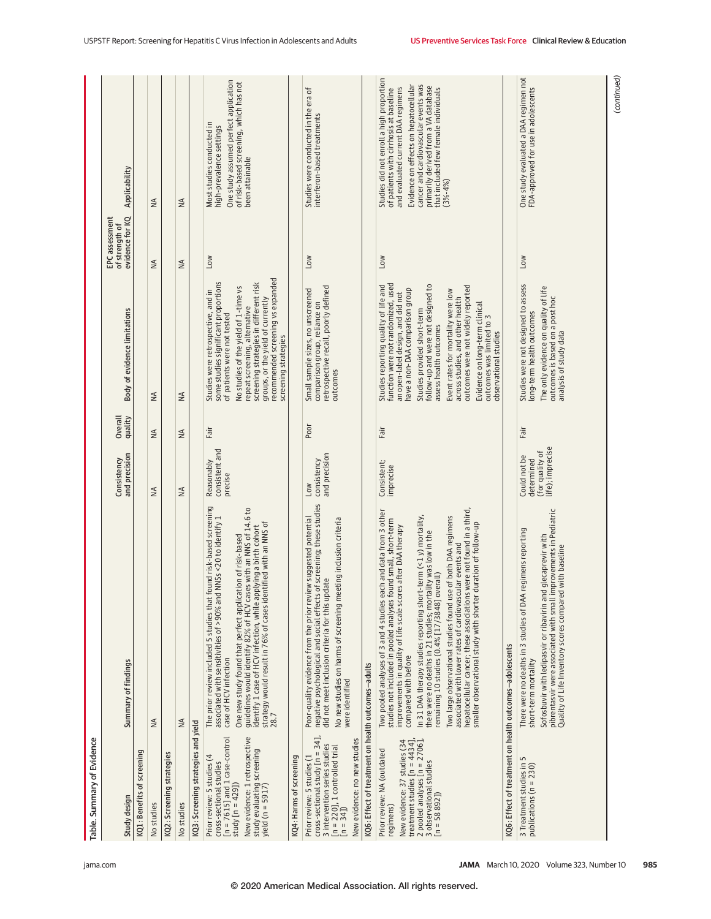| Table. Summary of Evidence                                                                                                                                                                       |                                                                                                                                                                                                                                                                                                                                                                                                                                                                                                                                                                                                                                                                                             |                                                                   |                    |                                                                                                                                                                                                                                                                                                                                                                                                                                                           |                                                     |                                                                                                                                                                                                                                                                                                         |
|--------------------------------------------------------------------------------------------------------------------------------------------------------------------------------------------------|---------------------------------------------------------------------------------------------------------------------------------------------------------------------------------------------------------------------------------------------------------------------------------------------------------------------------------------------------------------------------------------------------------------------------------------------------------------------------------------------------------------------------------------------------------------------------------------------------------------------------------------------------------------------------------------------|-------------------------------------------------------------------|--------------------|-----------------------------------------------------------------------------------------------------------------------------------------------------------------------------------------------------------------------------------------------------------------------------------------------------------------------------------------------------------------------------------------------------------------------------------------------------------|-----------------------------------------------------|---------------------------------------------------------------------------------------------------------------------------------------------------------------------------------------------------------------------------------------------------------------------------------------------------------|
| Study design                                                                                                                                                                                     | Summary of findings                                                                                                                                                                                                                                                                                                                                                                                                                                                                                                                                                                                                                                                                         | and precision<br>Consistency                                      | quality<br>Overall | Body of evidence limitations                                                                                                                                                                                                                                                                                                                                                                                                                              | evidence for KQ<br>EPC assessment<br>of strength of | Applicability                                                                                                                                                                                                                                                                                           |
| KQ1: Benefits of screening                                                                                                                                                                       |                                                                                                                                                                                                                                                                                                                                                                                                                                                                                                                                                                                                                                                                                             |                                                                   |                    |                                                                                                                                                                                                                                                                                                                                                                                                                                                           |                                                     |                                                                                                                                                                                                                                                                                                         |
| No studies                                                                                                                                                                                       | $\frac{4}{2}$                                                                                                                                                                                                                                                                                                                                                                                                                                                                                                                                                                                                                                                                               | ≸                                                                 | ≸                  | $\frac{4}{2}$                                                                                                                                                                                                                                                                                                                                                                                                                                             | $\frac{4}{2}$                                       | $\frac{4}{2}$                                                                                                                                                                                                                                                                                           |
| KQ2: Screening strategies                                                                                                                                                                        |                                                                                                                                                                                                                                                                                                                                                                                                                                                                                                                                                                                                                                                                                             |                                                                   |                    |                                                                                                                                                                                                                                                                                                                                                                                                                                                           |                                                     |                                                                                                                                                                                                                                                                                                         |
| No studies                                                                                                                                                                                       | $\frac{4}{2}$                                                                                                                                                                                                                                                                                                                                                                                                                                                                                                                                                                                                                                                                               | ≸                                                                 | ≸                  | $\leq$                                                                                                                                                                                                                                                                                                                                                                                                                                                    | $\frac{4}{2}$                                       | $\leq$                                                                                                                                                                                                                                                                                                  |
| KQ3: Screening strategies and yield                                                                                                                                                              |                                                                                                                                                                                                                                                                                                                                                                                                                                                                                                                                                                                                                                                                                             |                                                                   |                    |                                                                                                                                                                                                                                                                                                                                                                                                                                                           |                                                     |                                                                                                                                                                                                                                                                                                         |
| New evidence: 1 retrospective<br>$[n = 7615]$ and 1 case-control<br>study evaluating screening<br>Prior review: 5 studies (4<br>cross-sectional studies<br>study $[n = 429]$<br>yield (n = 5917) | found risk-based screening<br>guidelines would identify 82% of HCV cases with an NNS of 14.6 to<br>NNSs <20 to identify 1<br>strategy would result in 76% of cases identified with an NNS of<br>identify 1 case of HCV infection, while applying a birth cohort<br>One new study found that perfect application of risk-based<br>associated with sensitivities of >90% and<br>The prior review included 5 studies that 1<br>case of HCV infection<br>28.7                                                                                                                                                                                                                                   | consistent and<br>Reasonably<br>precise                           | Fair               | recommended screening vs expanded<br>some studies significant proportions<br>screening strategies in different risk<br>No studies of the yield of 1-time vs<br>Studies were retrospective, and in<br>groups, or the yield of currently<br>repeat screening, alternative<br>of patients were not tested<br>screening strategies                                                                                                                            | <b>NO7</b>                                          | One study assumed perfect application<br>of risk-based screening, which has not<br>Most studies conducted in<br>high-prevalence settings<br>been attainable                                                                                                                                             |
| KQ4: Harms of screening                                                                                                                                                                          |                                                                                                                                                                                                                                                                                                                                                                                                                                                                                                                                                                                                                                                                                             |                                                                   |                    |                                                                                                                                                                                                                                                                                                                                                                                                                                                           |                                                     |                                                                                                                                                                                                                                                                                                         |
| cross-sectional study $[n = 34]$ ,<br>New evidence: no new studies<br>3 intervention series studies<br>$[n = 220]$ , 1 controlled trial<br>Prior review: 5 studies (1<br>$[n = 34]$              | negative psychological and social effects of screening; these studies<br>Poor-quality evidence from the prior review suggested potential<br>No new studies on harms of screening meeting inclusion criteria<br>did not meet inclusion criteria for this update<br>were identified                                                                                                                                                                                                                                                                                                                                                                                                           | and precision<br>consistency<br>Low                               | Poor               | retrospective recall, poorly defined<br>Small sample sizes, no unscreened<br>comparison group, reliance on<br>outcomes                                                                                                                                                                                                                                                                                                                                    | <b>NO7</b>                                          | Studies were conducted in the era of<br>interferon-based treatments                                                                                                                                                                                                                                     |
| KQ6: Effect of treatment on health outcomes-adults                                                                                                                                               |                                                                                                                                                                                                                                                                                                                                                                                                                                                                                                                                                                                                                                                                                             |                                                                   |                    |                                                                                                                                                                                                                                                                                                                                                                                                                                                           |                                                     |                                                                                                                                                                                                                                                                                                         |
| 2 pooled analyses $[n = 2706]$ ,<br>New evidence: 37 studies (34<br>treatment studies $[n = 4434]$<br>Prior review: NA (outdated<br>3 observational studies<br>$[n = 58892]$<br>regimens)        | hepatocellular cancer; these associations were not found in a third,<br>Two pooled analyses of 3 and 4 studies each and data from 3 other<br>In 31 DAA therapy studies reporting short-term (<1 y) mortality,<br>Two large observational studies found use of both DAA regimens<br>studies not included in pooled analyses found small, short-term<br>smaller observational study with shorter duration of follow-up<br>improvements in quality of life scale scores after DAA therapy<br>there were no deaths in 21 studies; mortality was low in the<br>associated with lower rates of cardiovascular events and<br>remaining 10 studies (0.4% [17/3848] overall)<br>compared with before | Consistent;<br>imprecise                                          | Fair               | function were not randomized, used<br>Studies reporting quality of life and<br>follow-up and were not designed to<br>outcomes were not widely reported<br>have a non-DAA comparison group<br>Event rates for mortality were low<br>an open-label design, and did not<br>across studies, and other health<br>Evidence on long-term clinical<br>Studies provided short-term<br>outcomes was limited to 3<br>observational studies<br>assess health outcomes | <b>NOT</b>                                          | Studies did not enroll a high proportion<br>Evidence on effects on hepatocellular<br>cancer and cardiovascular events was<br>primarily derived from a VA database<br>of patients with cirrhosis at baseline<br>and evaluated current DAA regimens<br>that included few female individuals<br>$(3% -4%)$ |
| KQ6: Effect of treatment on health outcomes-adolescents                                                                                                                                          |                                                                                                                                                                                                                                                                                                                                                                                                                                                                                                                                                                                                                                                                                             |                                                                   |                    |                                                                                                                                                                                                                                                                                                                                                                                                                                                           |                                                     |                                                                                                                                                                                                                                                                                                         |
| 3 Treatment studies in 5<br>publications ( $n = 230$ )                                                                                                                                           | pibrentasvir were associated with small improvements in Pediatric<br>Quality of Life Inventory scores compared with baseline<br>regimens reporting<br>Sofosbuvir with ledipasvir or ribavirin and glecaprevir with<br>There were no deaths in 3 studies of DAA<br>short-term mortality                                                                                                                                                                                                                                                                                                                                                                                                      | life); imprecise<br>(for quality of<br>Could not be<br>determined | Fair               | Studies were not designed to assess<br>The only evidence on quality of life<br>outcomes is based on a post hoc<br>analysis of study data<br>long-term health outcomes                                                                                                                                                                                                                                                                                     | Low                                                 | One study evaluated a DAA regimen not<br>FDA-approved for use in adolescents                                                                                                                                                                                                                            |
|                                                                                                                                                                                                  |                                                                                                                                                                                                                                                                                                                                                                                                                                                                                                                                                                                                                                                                                             |                                                                   |                    |                                                                                                                                                                                                                                                                                                                                                                                                                                                           |                                                     | (continued)                                                                                                                                                                                                                                                                                             |

jama.com **(Reprinted) JAMA** March 10, 2020 Volume 323, Number 10 **985**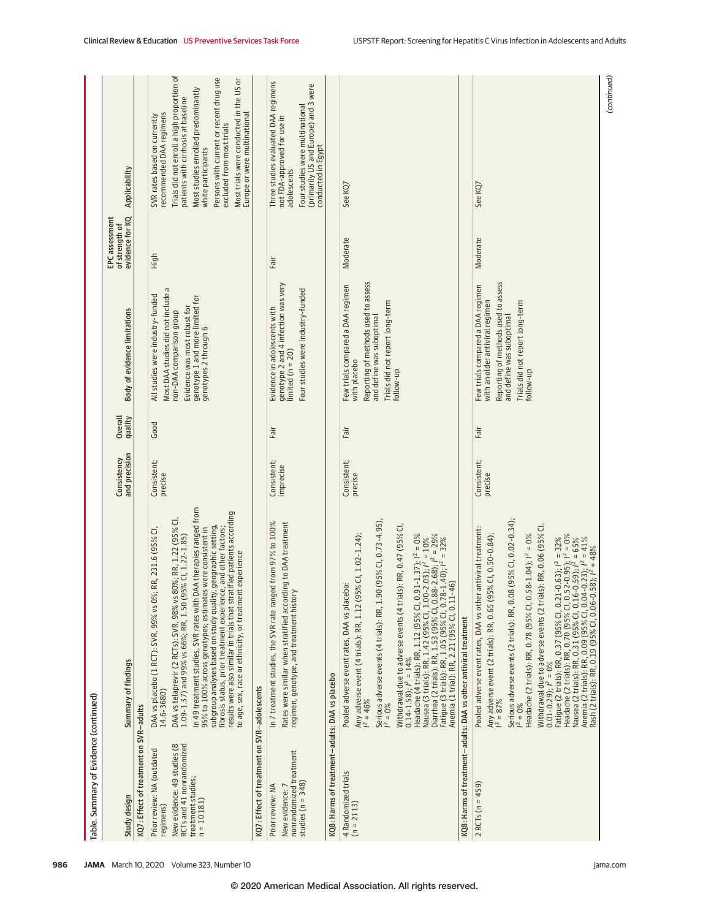| Table. Summary of Evidence (continued)                                                                                                   |                                                                                                                                                                                                                                                                                                                                                                                                                                                                                                                                                                                                                                                                                                                                                                                                |                              |                    |                                                                                                                                                                                                   |                                                     |                                                                                                                                                                                                                                                                                                                                                               |
|------------------------------------------------------------------------------------------------------------------------------------------|------------------------------------------------------------------------------------------------------------------------------------------------------------------------------------------------------------------------------------------------------------------------------------------------------------------------------------------------------------------------------------------------------------------------------------------------------------------------------------------------------------------------------------------------------------------------------------------------------------------------------------------------------------------------------------------------------------------------------------------------------------------------------------------------|------------------------------|--------------------|---------------------------------------------------------------------------------------------------------------------------------------------------------------------------------------------------|-----------------------------------------------------|---------------------------------------------------------------------------------------------------------------------------------------------------------------------------------------------------------------------------------------------------------------------------------------------------------------------------------------------------------------|
| Study design                                                                                                                             | Summary of findings                                                                                                                                                                                                                                                                                                                                                                                                                                                                                                                                                                                                                                                                                                                                                                            | and precision<br>Consistency | Overall<br>quality | Body of evidence limitations                                                                                                                                                                      | evidence for KQ<br>EPC assessment<br>of strength of | Applicability                                                                                                                                                                                                                                                                                                                                                 |
| KQ7: Effect of treatment on SVR-adults                                                                                                   |                                                                                                                                                                                                                                                                                                                                                                                                                                                                                                                                                                                                                                                                                                                                                                                                |                              |                    |                                                                                                                                                                                                   |                                                     |                                                                                                                                                                                                                                                                                                                                                               |
| RCTs and 41 nonrandomized<br>New evidence: 49 studies (8<br>Prior review: NA (outdated<br>treatment studies;<br>$n = 10181$<br>regimens) | In 49 treatment studies, SVR rates with DAA therapies ranged from<br>results were also similar in trials that stratified patients according<br>80%; RR, 1.22 (95% CI<br>subgroup analyses based on study quality, geographic setting,<br>fibrosis status, prior treatment experience, and other factors;<br>95% to 100% across genotypes; estimates were consistent in<br>DAA vs placebo (1 RCT): SVR, 99% vs 0%; RR, 231.6 (95% CI<br>1.09-1.37) and 99% vs 66%; RR, 1.50 (95% Cl, 1.22-1.85)<br>to age, sex, race or ethnicity, or treatment experience<br>DAA vs telaprevir (2 RCTs): SVR, 98% vs<br>14.6-3680)                                                                                                                                                                             | Consistent;<br>precise       | Good               | P<br>Most DAA studies did not include<br>All studies were industry-funded<br>genotype 1 and more limited for<br>Evidence was most robust for<br>non-DAA comparison group<br>genotypes 2 through 6 | High                                                | Trials did not enroll a high proportion of<br>Persons with current or recent drug use<br>Most trials were conducted in the US or<br>Most studies enrolled predominantly<br>patients with cirrhosis at baseline<br>Europe or were multinational<br>recommended DAA regimens<br>SVR rates based on currently<br>excluded from most trials<br>white participants |
| KQ7: Effect of treatment on SVR-adolescents                                                                                              |                                                                                                                                                                                                                                                                                                                                                                                                                                                                                                                                                                                                                                                                                                                                                                                                |                              |                    |                                                                                                                                                                                                   |                                                     |                                                                                                                                                                                                                                                                                                                                                               |
| nonrandomized treatment<br>studies ( $n = 348$ )<br>Prior review: NA<br>New evidence: 7                                                  | In 7 treatment studies, the SVR rate ranged from 97% to 100%<br>Rates were similar when stratified according to DAA treatment<br>regimen, genotype, and treatment history                                                                                                                                                                                                                                                                                                                                                                                                                                                                                                                                                                                                                      | Consistent;<br>imprecise     | Fair               | genotype 2 and 4 infection was very<br>Four studies were industry-funded<br>Evidence in adolescents with<br>limited ( $n = 20$ )                                                                  | Fair                                                | Three studies evaluated DAA regimens<br>(primarily US and Europe) and 3 were<br>Four studies were multinational<br>not FDA-approved for use in<br>conducted in Egypt<br>adolescents                                                                                                                                                                           |
| KQ8: Harms of treatment-adults: DAA vs placebo                                                                                           |                                                                                                                                                                                                                                                                                                                                                                                                                                                                                                                                                                                                                                                                                                                                                                                                |                              |                    |                                                                                                                                                                                                   |                                                     |                                                                                                                                                                                                                                                                                                                                                               |
| 4 Randomized trials<br>$(n = 2113)$                                                                                                      | Serious adverse events (4 trials): RR, 1.90 (95% Cl, 0.73-4.95),<br>Withdrawal due to adverse events (4 trials): RR, 0.47 (95% CI,<br>Headache (4 trials): RR, 1.12 (95% Cl, 0.91-1.37); $l^2 = 0$ %<br>Nausea (3 trials): RR, 1.42 (95% Cl, 1.00-2.03); $l^2 = 10%$<br>Diarrhea (2 trials): RR, 1.53 (95% Cl, 0.88-2.68); $l^2 = 29%$<br>Fatigue (3 trials): RR, 1.05 (95% Cl,<br>5% CI, 1.02-1.24);<br>Pooled adverse event rates, DAA vs placebo:<br>Any adverse event (4 trials): RR, 1.12 (9.<br>$0.14 - 1.58$ ; $l^2 = 14\%$<br>$I^2 = 46\%$<br>$I^2 = 0\%$                                                                                                                                                                                                                              | Consistent;<br>precise       | Fair               | Reporting of methods used to assess<br>Few trials compared a DAA regimen<br>Trials did not report long-term<br>and define was suboptimal<br>with placebo<br>follow-up                             | Moderate                                            | See KQ7                                                                                                                                                                                                                                                                                                                                                       |
|                                                                                                                                          | KQ8: Harms of treatment-adults: DAA vs other antiviral treatment                                                                                                                                                                                                                                                                                                                                                                                                                                                                                                                                                                                                                                                                                                                               |                              |                    |                                                                                                                                                                                                   |                                                     |                                                                                                                                                                                                                                                                                                                                                               |
| $2$ RCTs (n = 459)                                                                                                                       | Serious adverse events (2 trials): RR, 0.08 (95% Cl, 0.02-0.34);<br>Withdrawal due to adverse events (2 trials): RR, 0.06 (95% CI<br>Pooled adverse event rates, DAA vs other antiviral treatment:<br>Any adverse event (2 trials): RR, 0.65 (95% CI, 0.50-0.84);<br>Fatigue (2 trials): RR, 0.37 (95% Cl, 0.21-0.63); $l^2 = 32\%$<br>Headache (2 trials): RR, 0.70 (95% Cl, 0.52-0.95); $l^2 = 0\%$<br>Nausea (2 trials): RR, 0.31 (95% Cl, 0.16-0.59); $l^2 = 65\%$<br>Anemia (2 trials): RR, 0.09 (95% Cl,<br>Headache (2 trials): RR, 0.78 (95% Cl, 0.58-1.04); $l^2 = 0\%$<br>Anemia (2 trials): RR, 0.09 (95% Cl, 0.04-0.23); i <sup>2</sup> = 41%<br>Rash (2 trials): RR, 0.19 (95% Cl, 0.06-0.58); i <sup>2</sup> = 48%<br>$0.01 - 0.29$ ; $l^2 = 0\%$<br>$I^2 = 87\%$<br>$I^2 = 0\%$ | Consistent;<br>precise       | Fair               | Reporting of methods used to assess<br>Few trials compared a DAA regimen<br>with an older antiviral regimen<br>Trials did not report long-term<br>and define was suboptimal<br>follow-up          | Moderate                                            | See KQ7                                                                                                                                                                                                                                                                                                                                                       |
|                                                                                                                                          |                                                                                                                                                                                                                                                                                                                                                                                                                                                                                                                                                                                                                                                                                                                                                                                                |                              |                    |                                                                                                                                                                                                   |                                                     | (continued)                                                                                                                                                                                                                                                                                                                                                   |

**986 JAMA** March 10, 2020 Volume 323, Number 10 **(Reprinted)** and a structure of the printed of the printed of the printed of the printed of the printed of the printed of the printed of the printed of the printed of the pr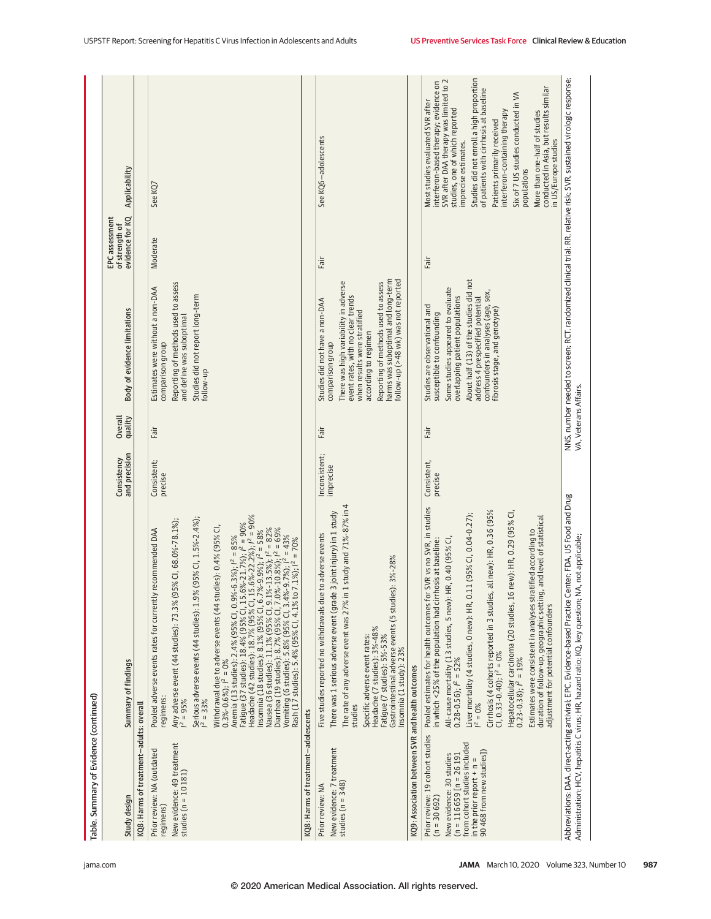| Table. Summary of Evidence (continued)                                                                                                                                                             |                                                                                                                                                                                                                                                                                                                                                                                                                                                                                                                                                                                                                                                                                                                                                                                                                                                                                             |                              |                       |                                                                                                                                                                                                                                                                                                              |                                                     |                                                                                                                                                                                                                                                                                                                                                                                                                                                                                              |
|----------------------------------------------------------------------------------------------------------------------------------------------------------------------------------------------------|---------------------------------------------------------------------------------------------------------------------------------------------------------------------------------------------------------------------------------------------------------------------------------------------------------------------------------------------------------------------------------------------------------------------------------------------------------------------------------------------------------------------------------------------------------------------------------------------------------------------------------------------------------------------------------------------------------------------------------------------------------------------------------------------------------------------------------------------------------------------------------------------|------------------------------|-----------------------|--------------------------------------------------------------------------------------------------------------------------------------------------------------------------------------------------------------------------------------------------------------------------------------------------------------|-----------------------------------------------------|----------------------------------------------------------------------------------------------------------------------------------------------------------------------------------------------------------------------------------------------------------------------------------------------------------------------------------------------------------------------------------------------------------------------------------------------------------------------------------------------|
| Study design                                                                                                                                                                                       | Summary of findings                                                                                                                                                                                                                                                                                                                                                                                                                                                                                                                                                                                                                                                                                                                                                                                                                                                                         | and precision<br>Consistency | Overall<br>quality    | <b>Body of evidence limitations</b>                                                                                                                                                                                                                                                                          | evidence for KQ<br>EPC assessment<br>of strength of | Applicability                                                                                                                                                                                                                                                                                                                                                                                                                                                                                |
| KQ8: Harms of treatment-adults: overal                                                                                                                                                             |                                                                                                                                                                                                                                                                                                                                                                                                                                                                                                                                                                                                                                                                                                                                                                                                                                                                                             |                              |                       |                                                                                                                                                                                                                                                                                                              |                                                     |                                                                                                                                                                                                                                                                                                                                                                                                                                                                                              |
| New evidence: 49 treatment<br>Prior review: NA (outdated<br>studies ( $n = 10181$ )<br>regimens)                                                                                                   | Anemia (13 studies): 2,4% (95% CI, 0,9%-6,3%); I <sup>2</sup> = 85%<br>Fatigue (37 studies): 18,4% (95% CI, 15,6%-21,7%); I <sup>2</sup> = 90%<br>Headache (42 studies): 18,7% (95% CI, 15,6%-22,2%); I <sup>2</sup> = 90%<br>Serious adverse events (44 studies): 1.9% (95% Cl, 1.5%-2.4%);<br>Any adverse event (44 studies): 73.3% (95% Cl, 68.0%-78.1%);<br>Withdrawal due to adverse events (44 studies): 0.4% (95% CI,<br>Nausea (36 studies): 11.1% (95% Cl, 9.1%-13.5%); $l^2 = 82%$<br>Diarrhea (19 studies): 8.7% (95% Cl, 7.0%-10.8%); $l^2 = 62%$<br>Vomiting (6 studies): 5.8% (95% Cl, 3.4%-9.7%); $l^2 = 43%$<br>Rash (17 studies): 5.4% (95% Cl, 4.1% to<br>Pooled adverse events rates for currently recommended DAA<br>$%-9.9\%$ ; $l^2 = 58\%$<br>Insomnia (18 studies): 8.1% (95% CI, 6.7<br>$0.3\% - 0.6\%$ ; $l^2 = 0\%$<br>regimens:<br>$1^2 = 95\%$<br>$1^2 = 33\%$ | Consistent;<br>precise       | Fair                  | Reporting of methods used to assess<br>Estimates were without a non-DAA<br>Studies did not report long-term<br>and define was suboptimal<br>comparison group<br>follow-up                                                                                                                                    | Moderate                                            | See KQ7                                                                                                                                                                                                                                                                                                                                                                                                                                                                                      |
| KQ8: Harms of treatment-adolescents                                                                                                                                                                |                                                                                                                                                                                                                                                                                                                                                                                                                                                                                                                                                                                                                                                                                                                                                                                                                                                                                             |                              |                       |                                                                                                                                                                                                                                                                                                              |                                                     |                                                                                                                                                                                                                                                                                                                                                                                                                                                                                              |
| New evidence: 7 treatment<br>studies ( $n = 348$ )<br>Prior review: NA                                                                                                                             | The rate of any adverse event was 27% in 1 study and 71%-87% in 4<br>3 joint injury) in 1 study<br>Five studies reported no withdrawals due to adverse events<br>Gastrointestinal adverse events (5 studies): 3%-28%<br>There was 1 serious adverse event (grade<br>Headache (7 studies): 3%-48%<br>Fatigue (7 studies): 5%-53%<br>Specific adverse event rates:<br>Insomnia (1 study): 23%<br>studies                                                                                                                                                                                                                                                                                                                                                                                                                                                                                      | Inconsistent;<br>imprecise   | Fair                  | harms was suboptimal and long-term<br>follow-up (>48 wk) was not reported<br>Reporting of methods used to assess<br>There was high variability in adverse<br>event rates, with no clear trends<br>Studies did not have a non-DAA<br>when results were stratified<br>according to regimen<br>comparison group | Fair                                                | See KQ6-adolescents                                                                                                                                                                                                                                                                                                                                                                                                                                                                          |
| KQ9: Association between SVR and health outcomes                                                                                                                                                   |                                                                                                                                                                                                                                                                                                                                                                                                                                                                                                                                                                                                                                                                                                                                                                                                                                                                                             |                              |                       |                                                                                                                                                                                                                                                                                                              |                                                     |                                                                                                                                                                                                                                                                                                                                                                                                                                                                                              |
| Prior review: 19 cohort studies<br>from cohort studies included<br>90 468 from new studies])<br>$(n = 116659)$ [n = 26 191<br>New evidence: 30 studies<br>in the prior report + n<br>$(n = 30692)$ | Pooled estimates for health outcomes for SVR vs no SVR, in studies<br>all new): HR, 0.36 (95%<br>new): HR, 0.29 (95% CI<br>11 (95% CI, 0.04-0.27);<br>duration of follow-up, geographic setting, and level of statistical<br>atified according to<br>All-cause mortality (13 studies, 5 new): HR, 0.40 (95% CI,<br>hosis at baseline:<br>Hepatocellular carcinoma (20 studies, 16<br>0.23-0.38); $l^2 = 19\%$<br>in which <25% of the population had cirr<br>Liver mortality (4 studies, 0 new): HR, 0.<br>Estimates were consistent in analyses str<br>adjustment for potential confounders<br>$0.28 - 0.56$ ; $l^2 = 52\%$<br>$l^2 = 0\%$                                                                                                                                                                                                                                                 | Consistent,<br>precise       | Fair                  | About half (13) of the studies did not<br>Some studies appeared to evaluate<br>confounders in analyses (age, sex,<br>overlapping patient populations<br>address 4 prespecified potential<br>Studies are observational and<br>fibrosis stage, and genotype)<br>susceptible to confounding                     | Fair                                                | Studies did not enroll a high proportion<br>interferon-based therapy; evidence on<br>SVR after DAA therapy was limited to 2<br>conducted in Asia, but results similar<br>of patients with cirrhosis at baseline<br>Six of 7 US studies conducted in VA<br>Most studies evaluated SVR after<br>studies, one of which reported<br>interferon-containing therapy<br>More than one-half of studies<br>Patients primarily received<br>in US/Europe studies<br>imprecise estimates.<br>populations |
|                                                                                                                                                                                                    | Abbreviations: DAA, direct-acting antiviral; EPC, Evidence-based Practice Center; FDA, US Food and Drug<br>A, not applicable;<br>Administration; HCV, hepatitis C virus; HR, hazard ratio; KQ, key question; N                                                                                                                                                                                                                                                                                                                                                                                                                                                                                                                                                                                                                                                                              |                              | VA, Veterans Affairs. | NNS, number needed to screen; RCT, randomized clinical trial; RR, relative risk; SVR, sustained virologic response;                                                                                                                                                                                          |                                                     |                                                                                                                                                                                                                                                                                                                                                                                                                                                                                              |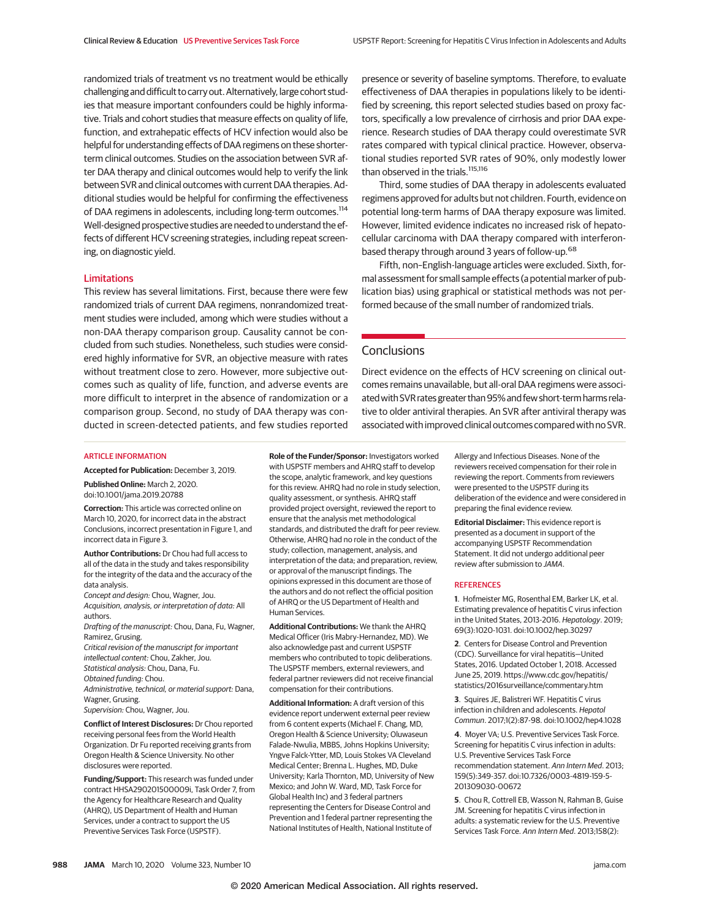randomized trials of treatment vs no treatment would be ethically challenging and difficult to carry out. Alternatively, large cohort studies that measure important confounders could be highly informative. Trials and cohort studies that measure effects on quality of life, function, and extrahepatic effects of HCV infection would also be helpful for understanding effects of DAA regimens on these shorterterm clinical outcomes. Studies on the association between SVR after DAA therapy and clinical outcomes would help to verify the link between SVR and clinical outcomes with current DAA therapies. Additional studies would be helpful for confirming the effectiveness of DAA regimens in adolescents, including long-term outcomes.<sup>114</sup> Well-designed prospective studies are needed to understand the effects of different HCV screening strategies, including repeat screening, on diagnostic yield.

#### Limitations

This review has several limitations. First, because there were few randomized trials of current DAA regimens, nonrandomized treatment studies were included, among which were studies without a non-DAA therapy comparison group. Causality cannot be concluded from such studies. Nonetheless, such studies were considered highly informative for SVR, an objective measure with rates without treatment close to zero. However, more subjective outcomes such as quality of life, function, and adverse events are more difficult to interpret in the absence of randomization or a comparison group. Second, no study of DAA therapy was conducted in screen-detected patients, and few studies reported

presence or severity of baseline symptoms. Therefore, to evaluate effectiveness of DAA therapies in populations likely to be identified by screening, this report selected studies based on proxy factors, specifically a low prevalence of cirrhosis and prior DAA experience. Research studies of DAA therapy could overestimate SVR rates compared with typical clinical practice. However, observational studies reported SVR rates of 90%, only modestly lower than observed in the trials.<sup>115,116</sup>

Third, some studies of DAA therapy in adolescents evaluated regimens approved for adults but not children. Fourth, evidence on potential long-term harms of DAA therapy exposure was limited. However, limited evidence indicates no increased risk of hepatocellular carcinoma with DAA therapy compared with interferonbased therapy through around 3 years of follow-up.<sup>68</sup>

Fifth, non–English-language articles were excluded. Sixth, formal assessment for small sample effects (a potential marker of publication bias) using graphical or statistical methods was not performed because of the small number of randomized trials.

# **Conclusions**

Direct evidence on the effects of HCV screening on clinical outcomes remains unavailable, but all-oral DAA regimens were associated with SVR rates greater than 95% and few short-term harms relative to older antiviral therapies. An SVR after antiviral therapy was associated with improved clinical outcomes compared with no SVR.

#### ARTICLE INFORMATION

**Accepted for Publication:** December 3, 2019.

**Published Online:** March 2, 2020. doi:10.1001/jama.2019.20788

**Correction:** This article was corrected online on March 10, 2020, for incorrect data in the abstract Conclusions, incorrect presentation in Figure 1, and incorrect data in Figure 3.

**Author Contributions:** Dr Chou had full access to all of the data in the study and takes responsibility for the integrity of the data and the accuracy of the data analysis.

Concept and design: Chou, Wagner, Jou. Acquisition, analysis, or interpretation of data: All authors.

Drafting of the manuscript: Chou, Dana, Fu, Wagner, Ramirez, Grusing.

Critical revision of the manuscript for important intellectual content: Chou, Zakher, Jou. Statistical analysis: Chou, Dana, Fu.

Obtained funding: Chou.

Administrative, technical, or material support: Dana, Wagner, Grusing.

Supervision: Chou, Wagner, Jou.

**Conflict of Interest Disclosures:** Dr Chou reported receiving personal fees from the World Health Organization. Dr Fu reported receiving grants from Oregon Health & Science University. No other disclosures were reported.

**Funding/Support:** This research was funded under contract HHSA290201500009i, Task Order 7, from the Agency for Healthcare Research and Quality (AHRQ), US Department of Health and Human Services, under a contract to support the US Preventive Services Task Force (USPSTF).

**Role of the Funder/Sponsor:** Investigators worked with USPSTF members and AHRQ staff to develop the scope, analytic framework, and key questions for this review. AHRQ had no role in study selection, quality assessment, or synthesis. AHRQ staff provided project oversight, reviewed the report to ensure that the analysis met methodological standards, and distributed the draft for peer review. Otherwise, AHRQ had no role in the conduct of the study; collection, management, analysis, and interpretation of the data; and preparation, review, or approval of the manuscript findings. The opinions expressed in this document are those of the authors and do not reflect the official position of AHRQ or the US Department of Health and Human Services.

**Additional Contributions:** We thank the AHRQ Medical Officer (Iris Mabry-Hernandez, MD). We also acknowledge past and current USPSTF members who contributed to topic deliberations. The USPSTF members, external reviewers, and federal partner reviewers did not receive financial compensation for their contributions.

**Additional Information:** A draft version of this evidence report underwent external peer review from 6 content experts (Michael F. Chang, MD, Oregon Health & Science University; Oluwaseun Falade-Nwulia, MBBS, Johns Hopkins University; Yngve Falck-Ytter, MD, Louis Stokes VA Cleveland Medical Center; Brenna L. Hughes, MD, Duke University; Karla Thornton, MD, University of New Mexico; and John W. Ward, MD, Task Force for Global Health Inc) and 3 federal partners representing the Centers for Disease Control and Prevention and 1 federal partner representing the National Institutes of Health, National Institute of

Allergy and Infectious Diseases. None of the reviewers received compensation for their role in reviewing the report. Comments from reviewers were presented to the USPSTF during its deliberation of the evidence and were considered in preparing the final evidence review.

**Editorial Disclaimer:** This evidence report is presented as a document in support of the accompanying USPSTF Recommendation Statement. It did not undergo additional peer review after submission to JAMA.

#### **REFERENCES**

**1**. Hofmeister MG, Rosenthal EM, Barker LK, et al. Estimating prevalence of hepatitis C virus infection in the United States, 2013-2016. Hepatology. 2019; 69(3):1020-1031. doi:10.1002/hep.30297

**2**. Centers for Disease Control and Prevention (CDC). Surveillance for viral hepatitis—United States, 2016. Updated October 1, 2018. Accessed June 25, 2019. https://www.cdc.gov/hepatitis/ statistics/2016surveillance/commentary.htm

**3**. Squires JE, Balistreri WF. Hepatitis C virus infection in children and adolescents. Hepatol Commun. 2017;1(2):87-98. doi:10.1002/hep4.1028

**4**. Moyer VA; U.S. Preventive Services Task Force. Screening for hepatitis C virus infection in adults: U.S. Preventive Services Task Force recommendation statement. Ann Intern Med. 2013; 159(5):349-357. doi:10.7326/0003-4819-159-5- 201309030-00672

**5**. Chou R, Cottrell EB, Wasson N, Rahman B, Guise JM. Screening for hepatitis C virus infection in adults: a systematic review for the U.S. Preventive Services Task Force. Ann Intern Med. 2013;158(2):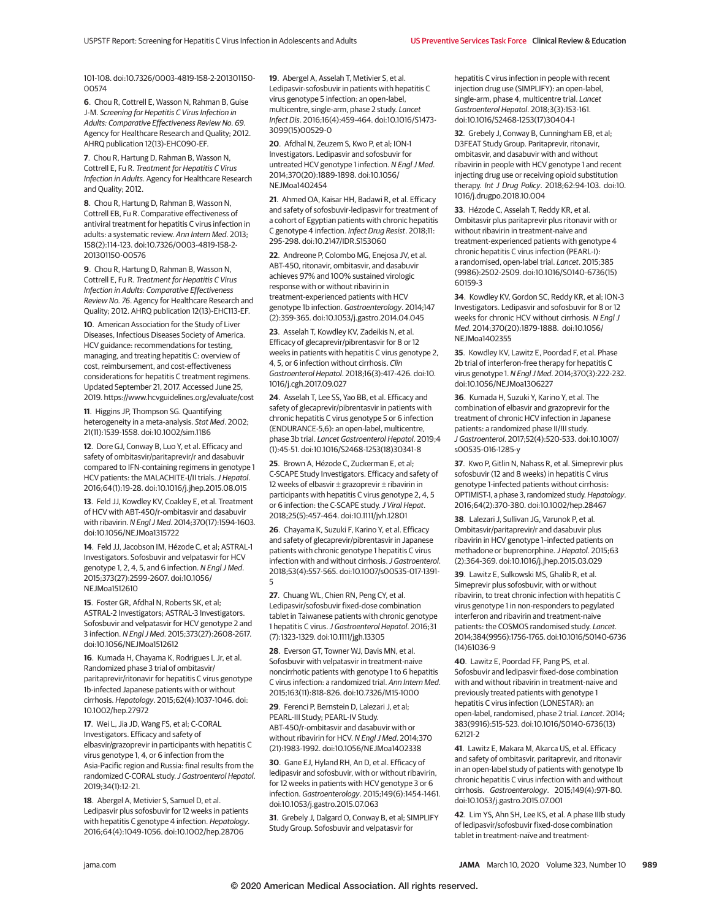101-108. doi:10.7326/0003-4819-158-2-201301150- 00574

**6**. Chou R, Cottrell E, Wasson N, Rahman B, Guise J-M. Screening for Hepatitis C Virus Infection in Adults: Comparative Effectiveness Review No. 69. Agency for Healthcare Research and Quality; 2012. AHRQ publication 12(13)-EHC090-EF.

**7**. Chou R, Hartung D, Rahman B, Wasson N, Cottrell E, Fu R. Treatment for Hepatitis C Virus Infection in Adults. Agency for Healthcare Research and Quality; 2012.

**8**. Chou R, Hartung D, Rahman B, Wasson N, Cottrell EB, Fu R. Comparative effectiveness of antiviral treatment for hepatitis C virus infection in adults: a systematic review. Ann Intern Med. 2013; 158(2):114-123. doi:10.7326/0003-4819-158-2- 201301150-00576

**9**. Chou R, Hartung D, Rahman B, Wasson N, Cottrell E, Fu R. Treatment for Hepatitis C Virus Infection in Adults: Comparative Effectiveness Review No. 76. Agency for Healthcare Research and Quality; 2012. AHRQ publication 12(13)-EHC113-EF.

**10**. American Association for the Study of Liver Diseases, Infectious Diseases Society of America. HCV guidance: recommendations for testing, managing, and treating hepatitis C: overview of cost, reimbursement, and cost-effectiveness considerations for hepatitis C treatment regimens. Updated September 21, 2017. Accessed June 25, 2019. https://www.hcvguidelines.org/evaluate/cost

**11**. Higgins JP, Thompson SG. Quantifying heterogeneity in a meta-analysis. Stat Med. 2002; 21(11):1539-1558. doi:10.1002/sim.1186

**12**. Dore GJ, Conway B, Luo Y, et al. Efficacy and safety of ombitasvir/paritaprevir/r and dasabuvir compared to IFN-containing regimens in genotype 1 HCV patients: the MALACHITE-I/II trials. J Hepatol. 2016;64(1):19-28. doi:10.1016/j.jhep.2015.08.015

**13**. Feld JJ, Kowdley KV, Coakley E, et al. Treatment of HCV with ABT-450/r-ombitasvir and dasabuvir with ribavirin. N Engl J Med. 2014;370(17):1594-1603. doi:10.1056/NEJMoa1315722

**14**. Feld JJ, Jacobson IM, Hézode C, et al; ASTRAL-1 Investigators. Sofosbuvir and velpatasvir for HCV genotype 1, 2, 4, 5, and 6 infection. N Engl J Med. 2015;373(27):2599-2607. doi:10.1056/ NEJMoa1512610

**15**. Foster GR, Afdhal N, Roberts SK, et al; ASTRAL-2 Investigators; ASTRAL-3 Investigators. Sofosbuvir and velpatasvir for HCV genotype 2 and 3 infection. N Engl J Med. 2015;373(27):2608-2617. doi:10.1056/NEJMoa1512612

**16**. Kumada H, Chayama K, Rodrigues L Jr, et al. Randomized phase 3 trial of ombitasvir/ paritaprevir/ritonavir for hepatitis C virus genotype 1b-infected Japanese patients with or without cirrhosis. Hepatology. 2015;62(4):1037-1046. doi: 10.1002/hep.27972

**17**. Wei L, Jia JD, Wang FS, et al; C-CORAL Investigators. Efficacy and safety of elbasvir/grazoprevir in participants with hepatitis C virus genotype 1, 4, or 6 infection from the Asia-Pacific region and Russia: final results from the randomized C-CORAL study. J Gastroenterol Hepatol. 2019;34(1):12-21.

**18**. Abergel A, Metivier S, Samuel D, et al. Ledipasvir plus sofosbuvir for 12 weeks in patients with hepatitis C genotype 4 infection. Hepatology. 2016;64(4):1049-1056. doi:10.1002/hep.28706

**19**. Abergel A, Asselah T, Metivier S, et al. Ledipasvir-sofosbuvir in patients with hepatitis C virus genotype 5 infection: an open-label, multicentre, single-arm, phase 2 study. Lancet Infect Dis. 2016;16(4):459-464. doi:10.1016/S1473- 3099(15)00529-0

**20**. Afdhal N, Zeuzem S, Kwo P, et al; ION-1 Investigators. Ledipasvir and sofosbuvir for untreated HCV genotype 1 infection. N Engl J Med. 2014;370(20):1889-1898. doi:10.1056/ NEJMoa1402454

**21**. Ahmed OA, Kaisar HH, Badawi R, et al. Efficacy and safety of sofosbuvir-ledipasvir for treatment of a cohort of Egyptian patients with chronic hepatitis C genotype 4 infection. Infect Drug Resist. 2018;11: 295-298. doi:10.2147/IDR.S153060

**22**. Andreone P, Colombo MG, Enejosa JV, et al. ABT-450, ritonavir, ombitasvir, and dasabuvir achieves 97% and 100% sustained virologic response with or without ribavirin in treatment-experienced patients with HCV genotype 1b infection. Gastroenterology. 2014;147 (2):359-365. doi:10.1053/j.gastro.2014.04.045

**23**. Asselah T, Kowdley KV, Zadeikis N, et al. Efficacy of glecaprevir/pibrentasvir for 8 or 12 weeks in patients with hepatitis C virus genotype 2, 4, 5, or 6 infection without cirrhosis. Clin Gastroenterol Hepatol. 2018;16(3):417-426. doi:10. 1016/j.cgh.2017.09.027

**24**. Asselah T, Lee SS, Yao BB, et al. Efficacy and safety of glecaprevir/pibrentasvir in patients with chronic hepatitis C virus genotype 5 or 6 infection (ENDURANCE-5,6): an open-label, multicentre, phase 3b trial. Lancet Gastroenterol Hepatol. 2019;4 (1):45-51. doi:10.1016/S2468-1253(18)30341-8

25. Brown A, Hézode C, Zuckerman E, et al-C-SCAPE Study Investigators. Efficacy and safety of 12 weeks of elbasvir  $\pm$  grazoprevir  $\pm$  ribavirin in participants with hepatitis C virus genotype 2, 4, 5 or 6 infection: the C-SCAPE study. J Viral Hepat. 2018;25(5):457-464. doi:10.1111/jvh.12801

**26**. Chayama K, Suzuki F, Karino Y, et al. Efficacy and safety of glecaprevir/pibrentasvir in Japanese patients with chronic genotype 1 hepatitis C virus infection with and without cirrhosis. J Gastroenterol. 2018;53(4):557-565. doi:10.1007/s00535-017-1391- 5

**27**. Chuang WL, Chien RN, Peng CY, et al. Ledipasvir/sofosbuvir fixed-dose combination tablet in Taiwanese patients with chronic genotype 1 hepatitis C virus. J Gastroenterol Hepatol. 2016;31 (7):1323-1329. doi:10.1111/jgh.13305

**28**. Everson GT, Towner WJ, Davis MN, et al. Sofosbuvir with velpatasvir in treatment-naive noncirrhotic patients with genotype 1 to 6 hepatitis C virus infection: a randomized trial. Ann Intern Med. 2015;163(11):818-826. doi:10.7326/M15-1000

**29**. Ferenci P, Bernstein D, Lalezari J, et al; PEARL-III Study; PEARL-IV Study. ABT-450/r-ombitasvir and dasabuvir with or without ribavirin for HCV. N Engl J Med. 2014;370 (21):1983-1992. doi:10.1056/NEJMoa1402338

**30**. Gane EJ, Hyland RH, An D, et al. Efficacy of ledipasvir and sofosbuvir, with or without ribavirin, for 12 weeks in patients with HCV genotype 3 or 6 infection. Gastroenterology. 2015;149(6):1454-1461. doi:10.1053/j.gastro.2015.07.063

**31**. Grebely J, Dalgard O, Conway B, et al; SIMPLIFY Study Group. Sofosbuvir and velpatasvir for

hepatitis C virus infection in people with recent injection drug use (SIMPLIFY): an open-label, single-arm, phase 4, multicentre trial. Lancet Gastroenterol Hepatol. 2018;3(3):153-161. doi:10.1016/S2468-1253(17)30404-1

**32**. Grebely J, Conway B, Cunningham EB, et al; D3FEAT Study Group. Paritaprevir, ritonavir, ombitasvir, and dasabuvir with and without ribavirin in people with HCV genotype 1 and recent injecting drug use or receiving opioid substitution therapy. Int J Drug Policy. 2018;62:94-103. doi:10. 1016/j.drugpo.2018.10.004

**33**. Hézode C, Asselah T, Reddy KR, et al. Ombitasvir plus paritaprevir plus ritonavir with or without ribavirin in treatment-naive and treatment-experienced patients with genotype 4 chronic hepatitis C virus infection (PEARL-I): a randomised, open-label trial. Lancet. 2015;385 (9986):2502-2509. doi:10.1016/S0140-6736(15) 60159-3

**34**. Kowdley KV, Gordon SC, Reddy KR, et al; ION-3 Investigators. Ledipasvir and sofosbuvir for 8 or 12 weeks for chronic HCV without cirrhosis. N Engl J Med. 2014;370(20):1879-1888. doi:10.1056/ NE IMoa1402355

**35**. Kowdley KV, Lawitz E, Poordad F, et al. Phase 2b trial of interferon-free therapy for hepatitis C virus genotype 1. N Engl J Med. 2014;370(3):222-232. doi:10.1056/NEJMoa1306227

**36**. Kumada H, Suzuki Y, Karino Y, et al. The combination of elbasvir and grazoprevir for the treatment of chronic HCV infection in Japanese patients: a randomized phase II/III study. J Gastroenterol. 2017;52(4):520-533. doi:10.1007/ s00535-016-1285-y

**37**. Kwo P. Gitlin N. Nahass R, et al. Simeprevir plus sofosbuvir (12 and 8 weeks) in hepatitis C virus genotype 1-infected patients without cirrhosis: OPTIMIST-1, a phase 3, randomized study. Hepatology. 2016;64(2):370-380. doi:10.1002/hep.28467

**38**. Lalezari J, Sullivan JG, Varunok P, et al. Ombitasvir/paritaprevir/r and dasabuvir plus ribavirin in HCV genotype 1–infected patients on methadone or buprenorphine. J Hepatol. 2015;63 (2):364-369. doi:10.1016/j.jhep.2015.03.029

**39**. Lawitz E, Sulkowski MS, Ghalib R, et al. Simeprevir plus sofosbuvir, with or without ribavirin, to treat chronic infection with hepatitis C virus genotype 1 in non-responders to pegylated interferon and ribavirin and treatment-naive patients: the COSMOS randomised study. Lancet. 2014;384(9956):1756-1765. doi:10.1016/S0140-6736 (14)61036-9

**40**. Lawitz E, Poordad FF, Pang PS, et al. Sofosbuvir and ledipasvir fixed-dose combination with and without ribavirin in treatment-naive and previously treated patients with genotype 1 hepatitis C virus infection (LONESTAR): an open-label, randomised, phase 2 trial. Lancet. 2014; 383(9916):515-523. doi:10.1016/S0140-6736(13) 62121-2

**41**. Lawitz E, Makara M, Akarca US, et al. Efficacy and safety of ombitasvir, paritaprevir, and ritonavir in an open-label study of patients with genotype 1b chronic hepatitis C virus infection with and without cirrhosis. Gastroenterology. 2015;149(4):971-80. doi:10.1053/j.gastro.2015.07.001

**42**. Lim YS, Ahn SH, Lee KS, et al. A phase IIIb study of ledipasvir/sofosbuvir fixed-dose combination tablet in treatment-naïve and treatment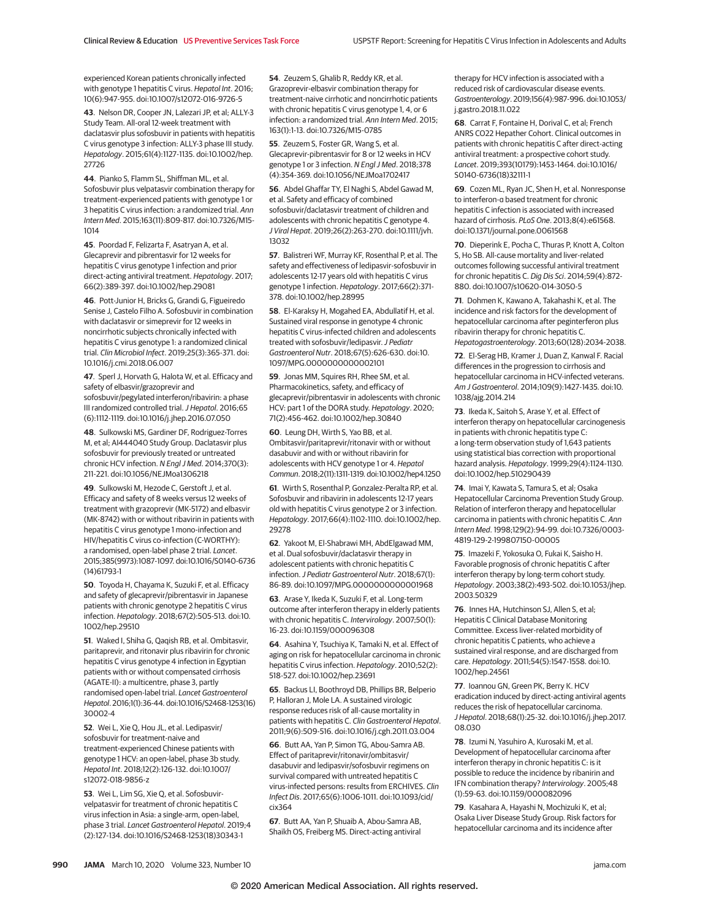experienced Korean patients chronically infected with genotype 1 hepatitis C virus. Hepatol Int. 2016; 10(6):947-955. doi:10.1007/s12072-016-9726-5

**43**. Nelson DR, Cooper JN, Lalezari JP, et al; ALLY-3 Study Team. All-oral 12-week treatment with daclatasvir plus sofosbuvir in patients with hepatitis C virus genotype 3 infection: ALLY-3 phase III study. Hepatology. 2015;61(4):1127-1135. doi:10.1002/hep. 27726

**44**. Pianko S, Flamm SL, Shiffman ML, et al. Sofosbuvir plus velpatasvir combination therapy for treatment-experienced patients with genotype 1 or 3 hepatitis C virus infection: a randomized trial. Ann Intern Med. 2015;163(11):809-817. doi:10.7326/M15- 1014

**45**. Poordad F, Felizarta F, Asatryan A, et al. Glecaprevir and pibrentasvir for 12 weeks for hepatitis C virus genotype 1 infection and prior direct-acting antiviral treatment. Hepatology. 2017; 66(2):389-397. doi:10.1002/hep.29081

**46**. Pott-Junior H, Bricks G, Grandi G, Figueiredo Senise J, Castelo Filho A. Sofosbuvir in combination with daclatasvir or simeprevir for 12 weeks in noncirrhotic subjects chronically infected with hepatitis C virus genotype 1: a randomized clinical trial. Clin Microbiol Infect. 2019;25(3):365-371. doi: 10.1016/j.cmi.2018.06.007

**47**. Sperl J, Horvath G, Halota W, et al. Efficacy and safety of elbasvir/grazoprevir and sofosbuvir/pegylated interferon/ribavirin: a phase III randomized controlled trial. J Hepatol. 2016;65 (6):1112-1119. doi:10.1016/j.jhep.2016.07.050

**48**. Sulkowski MS, Gardiner DF, Rodriguez-Torres M, et al; AI444040 Study Group. Daclatasvir plus sofosbuvir for previously treated or untreated chronic HCV infection. N Engl J Med. 2014;370(3): 211-221. doi:10.1056/NEJMoa1306218

**49**. Sulkowski M, Hezode C, Gerstoft J, et al. Efficacy and safety of 8 weeks versus 12 weeks of treatment with grazoprevir (MK-5172) and elbasvir (MK-8742) with or without ribavirin in patients with hepatitis C virus genotype 1 mono-infection and HIV/hepatitis C virus co-infection (C-WORTHY): a randomised, open-label phase 2 trial. Lancet. 2015;385(9973):1087-1097. doi:10.1016/S0140-6736 (14)61793-1

**50**. Toyoda H, Chayama K, Suzuki F, et al. Efficacy and safety of glecaprevir/pibrentasvir in Japanese patients with chronic genotype 2 hepatitis C virus infection. Hepatology. 2018;67(2):505-513. doi:10. 1002/hep.29510

**51**. Waked I, Shiha G, Qaqish RB, et al. Ombitasvir, paritaprevir, and ritonavir plus ribavirin for chronic hepatitis C virus genotype 4 infection in Egyptian patients with or without compensated cirrhosis (AGATE-II): a multicentre, phase 3, partly randomised open-label trial. Lancet Gastroenterol Hepatol. 2016;1(1):36-44. doi:10.1016/S2468-1253(16) 30002-4

**52**. Wei L, Xie Q, Hou JL, et al. Ledipasvir/ sofosbuvir for treatment-naive and treatment-experienced Chinese patients with genotype 1 HCV: an open-label, phase 3b study. Hepatol Int. 2018;12(2):126-132. doi:10.1007/ s12072-018-9856-z

**53**. Wei L, Lim SG, Xie Q, et al. Sofosbuvirvelpatasvir for treatment of chronic hepatitis C virus infection in Asia: a single-arm, open-label, phase 3 trial. Lancet Gastroenterol Hepatol. 2019;4 (2):127-134. doi:10.1016/S2468-1253(18)30343-1

**54**. Zeuzem S, Ghalib R, Reddy KR, et al. Grazoprevir-elbasvir combination therapy for treatment-naive cirrhotic and noncirrhotic patients with chronic hepatitis C virus genotype 1, 4, or 6 infection: a randomized trial. Ann Intern Med. 2015; 163(1):1-13. doi:10.7326/M15-0785

**55**. Zeuzem S, Foster GR, Wang S, et al. Glecaprevir-pibrentasvir for 8 or 12 weeks in HCV genotype 1 or 3 infection. N Engl J Med. 2018;378 (4):354-369. doi:10.1056/NEJMoa1702417

**56**. Abdel Ghaffar TY, El Naghi S, Abdel Gawad M, et al. Safety and efficacy of combined sofosbuvir/daclatasvir treatment of children and adolescents with chronic hepatitis C genotype 4. J Viral Hepat. 2019;26(2):263-270. doi:10.1111/jvh. 13032

**57**. Balistreri WF, Murray KF, Rosenthal P, et al. The safety and effectiveness of ledipasvir-sofosbuvir in adolescents 12-17 years old with hepatitis C virus genotype 1 infection. Hepatology. 2017;66(2):371- 378. doi:10.1002/hep.28995

**58**. El-Karaksy H, Mogahed EA, Abdullatif H, et al. Sustained viral response in genotype 4 chronic hepatitis C virus-infected children and adolescents treated with sofosbuvir/ledipasvir.J Pediatr Gastroenterol Nutr. 2018;67(5):626-630. doi:10. 1097/MPG.0000000000002101

**59**. Jonas MM, Squires RH, Rhee SM, et al. Pharmacokinetics, safety, and efficacy of glecaprevir/pibrentasvir in adolescents with chronic HCV: part 1 of the DORA study. Hepatology. 2020; 71(2):456-462. doi:10.1002/hep.30840

**60**. Leung DH, Wirth S, Yao BB, et al. Ombitasvir/paritaprevir/ritonavir with or without dasabuvir and with or without ribavirin for adolescents with HCV genotype 1 or 4. Hepatol Commun. 2018;2(11):1311-1319. doi:10.1002/hep4.1250

**61**. Wirth S, Rosenthal P, Gonzalez-Peralta RP, et al. Sofosbuvir and ribavirin in adolescents 12-17 years old with hepatitis C virus genotype 2 or 3 infection. Hepatology. 2017;66(4):1102-1110. doi:10.1002/hep. 29278

**62**. Yakoot M, El-Shabrawi MH, AbdElgawad MM, et al. Dual sofosbuvir/daclatasvir therapy in adolescent patients with chronic hepatitis C infection.J Pediatr Gastroenterol Nutr. 2018;67(1): 86-89. doi:10.1097/MPG.0000000000001968

**63**. Arase Y, Ikeda K, Suzuki F, et al. Long-term outcome after interferon therapy in elderly patients with chronic hepatitis C. Intervirology. 2007;50(1): 16-23. doi:10.1159/000096308

**64**. Asahina Y, Tsuchiya K, Tamaki N, et al. Effect of aging on risk for hepatocellular carcinoma in chronic hepatitis C virus infection. Hepatology. 2010;52(2): 518-527. doi:10.1002/hep.23691

**65**. Backus LI, Boothroyd DB, Phillips BR, Belperio P, Halloran J, Mole LA. A sustained virologic response reduces risk of all-cause mortality in patients with hepatitis C. Clin Gastroenterol Hepatol. 2011;9(6):509-516. doi:10.1016/j.cgh.2011.03.004

**66**. Butt AA, Yan P, Simon TG, Abou-Samra AB. Effect of paritaprevir/ritonavir/ombitasvir/ dasabuvir and ledipasvir/sofosbuvir regimens on survival compared with untreated hepatitis C virus-infected persons: results from ERCHIVES. Clin Infect Dis. 2017;65(6):1006-1011. doi:10.1093/cid/ cix364

**67**. Butt AA, Yan P, Shuaib A, Abou-Samra AB, Shaikh OS, Freiberg MS. Direct-acting antiviral therapy for HCV infection is associated with a reduced risk of cardiovascular disease events. Gastroenterology. 2019;156(4):987-996. doi:10.1053/ j.gastro.2018.11.022

**68**. Carrat F, Fontaine H, Dorival C, et al; French ANRS CO22 Hepather Cohort. Clinical outcomes in patients with chronic hepatitis C after direct-acting antiviral treatment: a prospective cohort study. Lancet. 2019;393(10179):1453-1464. doi:10.1016/ S0140-6736(18)32111-1

**69**. Cozen ML, Ryan JC, Shen H, et al. Nonresponse to interferon-α based treatment for chronic hepatitis C infection is associated with increased hazard of cirrhosis. PLoS One. 2013;8(4):e61568. doi:10.1371/journal.pone.0061568

**70**. Dieperink E, Pocha C, Thuras P, Knott A, Colton S, Ho SB. All-cause mortality and liver-related outcomes following successful antiviral treatment for chronic hepatitis C. Dig Dis Sci. 2014;59(4):872- 880. doi:10.1007/s10620-014-3050-5

**71**. Dohmen K, Kawano A, Takahashi K, et al. The incidence and risk factors for the development of hepatocellular carcinoma after peginterferon plus ribavirin therapy for chronic hepatitis C. Hepatogastroenterology. 2013;60(128):2034-2038.

**72**. El-Serag HB, Kramer J, Duan Z, Kanwal F. Racial differences in the progression to cirrhosis and hepatocellular carcinoma in HCV-infected veterans. Am J Gastroenterol. 2014;109(9):1427-1435. doi:10. 1038/ajg.2014.214

**73**. Ikeda K, Saitoh S, Arase Y, et al. Effect of interferon therapy on hepatocellular carcinogenesis in patients with chronic hepatitis type C: a long-term observation study of 1,643 patients using statistical bias correction with proportional hazard analysis. Hepatology. 1999;29(4):1124-1130. doi:10.1002/hep.510290439

**74**. Imai Y, Kawata S, Tamura S, et al; Osaka Hepatocellular Carcinoma Prevention Study Group. Relation of interferon therapy and hepatocellular carcinoma in patients with chronic hepatitis C. Ann Intern Med. 1998;129(2):94-99. doi:10.7326/0003- 4819-129-2-199807150-00005

**75**. Imazeki F, Yokosuka O, Fukai K, Saisho H. Favorable prognosis of chronic hepatitis C after interferon therapy by long-term cohort study. Hepatology. 2003;38(2):493-502. doi:10.1053/jhep. 2003.50329

**76**. Innes HA, Hutchinson SJ, Allen S, et al; Hepatitis C Clinical Database Monitoring Committee. Excess liver-related morbidity of chronic hepatitis C patients, who achieve a sustained viral response, and are discharged from care. Hepatology. 2011;54(5):1547-1558. doi:10. 1002/hep.24561

**77**. Ioannou GN, Green PK, Berry K. HCV eradication induced by direct-acting antiviral agents reduces the risk of hepatocellular carcinoma. J Hepatol. 2018;68(1):25-32. doi:10.1016/j.jhep.2017. 08.030

**78**. Izumi N, Yasuhiro A, Kurosaki M, et al. Development of hepatocellular carcinoma after interferon therapy in chronic hepatitis C: is it possible to reduce the incidence by ribanirin and IFN combination therapy? Intervirology. 2005;48 (1):59-63. doi:10.1159/000082096

**79**. Kasahara A, Hayashi N, Mochizuki K, et al; Osaka Liver Disease Study Group. Risk factors for hepatocellular carcinoma and its incidence after